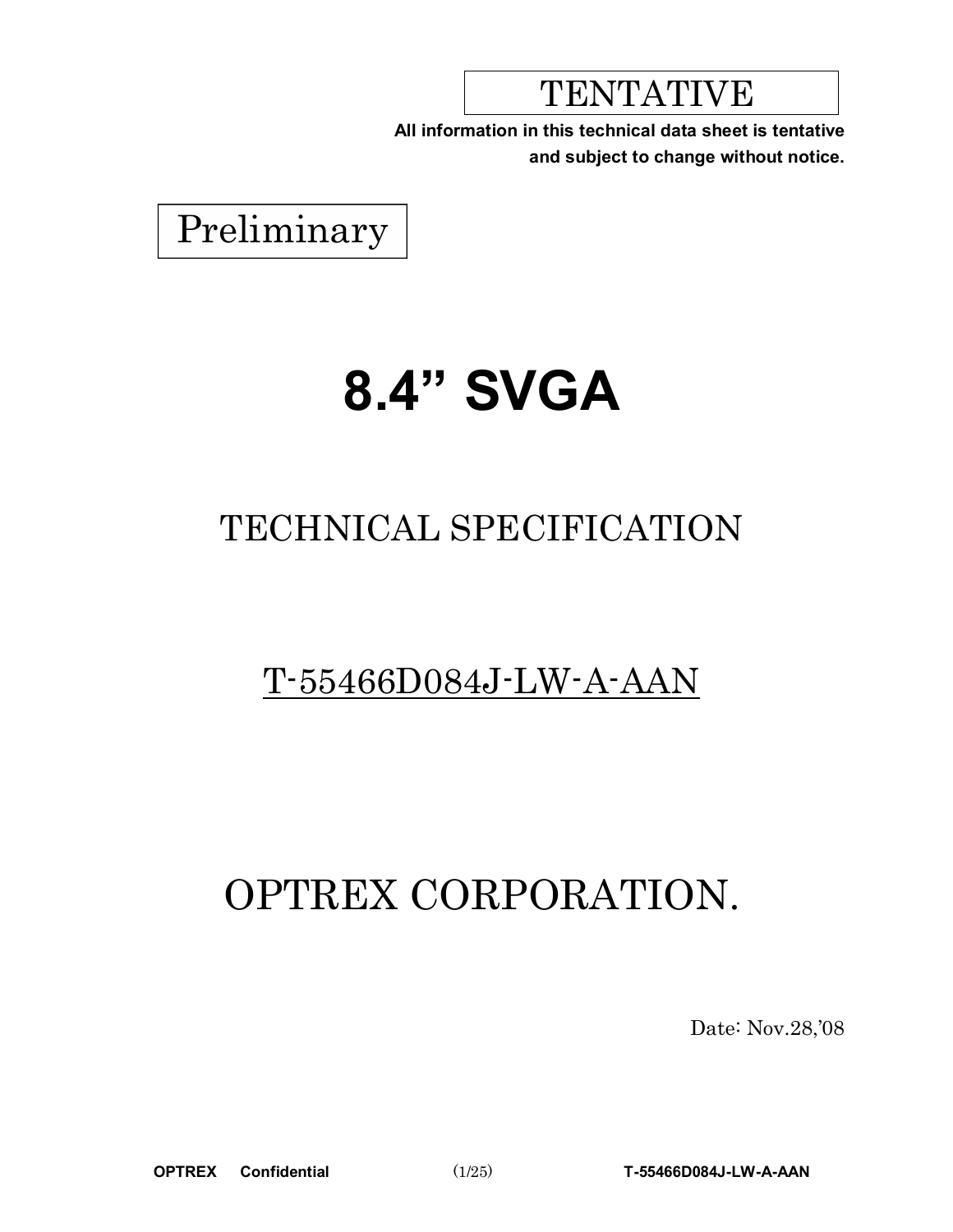## TENTATIVE

**All information in this technical data sheet is tentative and subject to change without notice.**



# **8.4" SVGA**

## TECHNICAL SPECIFICATION

## T-55466D084J-LW-A-AAN

## OPTREX CORPORATION.

Date: Nov.28,'08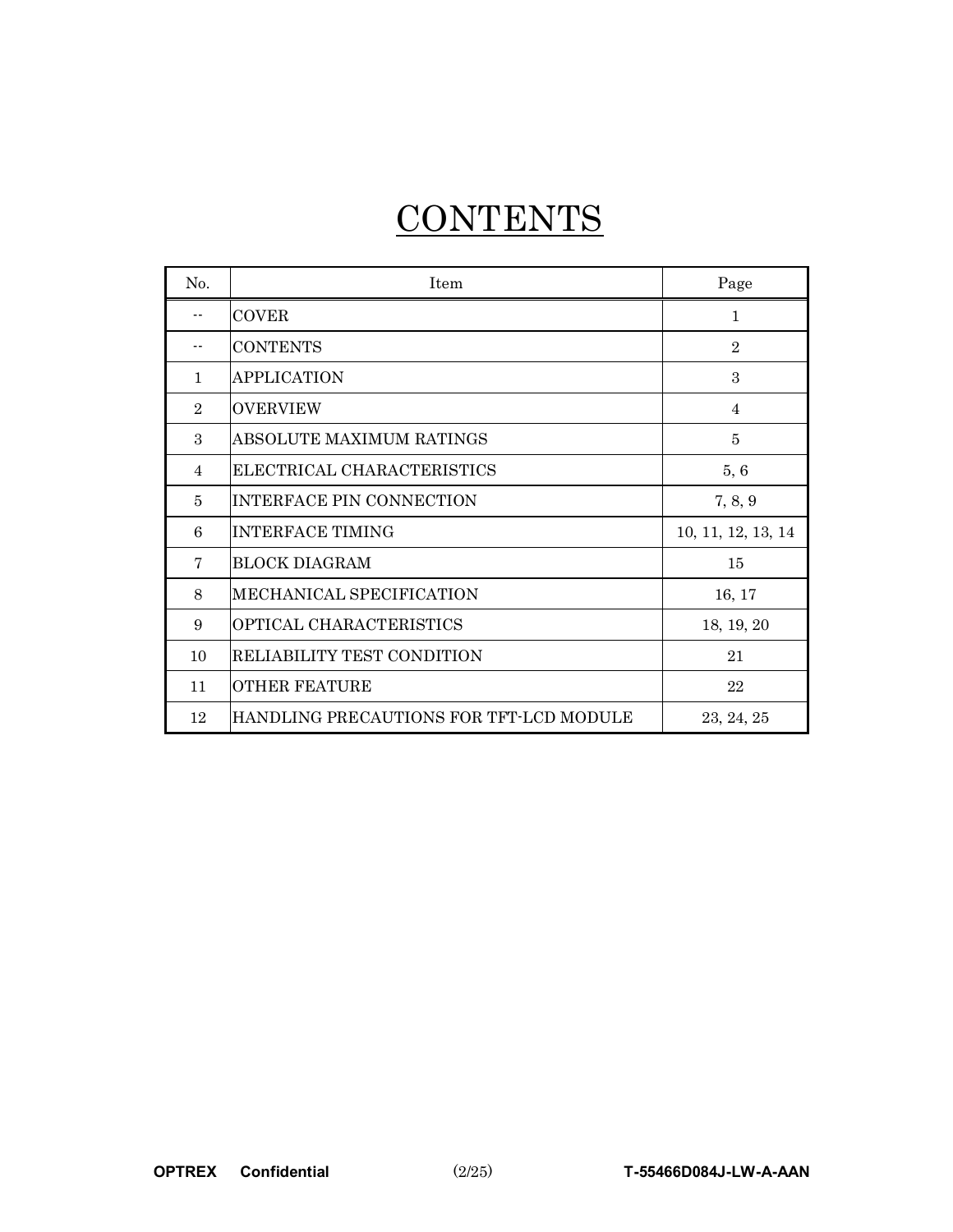## **CONTENTS**

| No.            | Item                                    | Page               |
|----------------|-----------------------------------------|--------------------|
|                | <b>COVER</b>                            | 1                  |
|                | <b>CONTENTS</b>                         | $\overline{2}$     |
| $\mathbf{1}$   | <b>APPLICATION</b>                      | 3                  |
| $\overline{2}$ | <b>OVERVIEW</b>                         | $\overline{4}$     |
| 3              | ABSOLUTE MAXIMUM RATINGS                | $\overline{5}$     |
| 4              | ELECTRICAL CHARACTERISTICS              | 5, 6               |
| 5              | <b>INTERFACE PIN CONNECTION</b>         | 7, 8, 9            |
| 6              | <b>INTERFACE TIMING</b>                 | 10, 11, 12, 13, 14 |
| 7              | <b>BLOCK DIAGRAM</b>                    | 15                 |
| 8              | MECHANICAL SPECIFICATION                | 16, 17             |
| 9              | OPTICAL CHARACTERISTICS                 | 18, 19, 20         |
| 10             | RELIABILITY TEST CONDITION              | 21                 |
| 11             | <b>OTHER FEATURE</b>                    | 22                 |
| 12             | HANDLING PRECAUTIONS FOR TFT-LCD MODULE | 23, 24, 25         |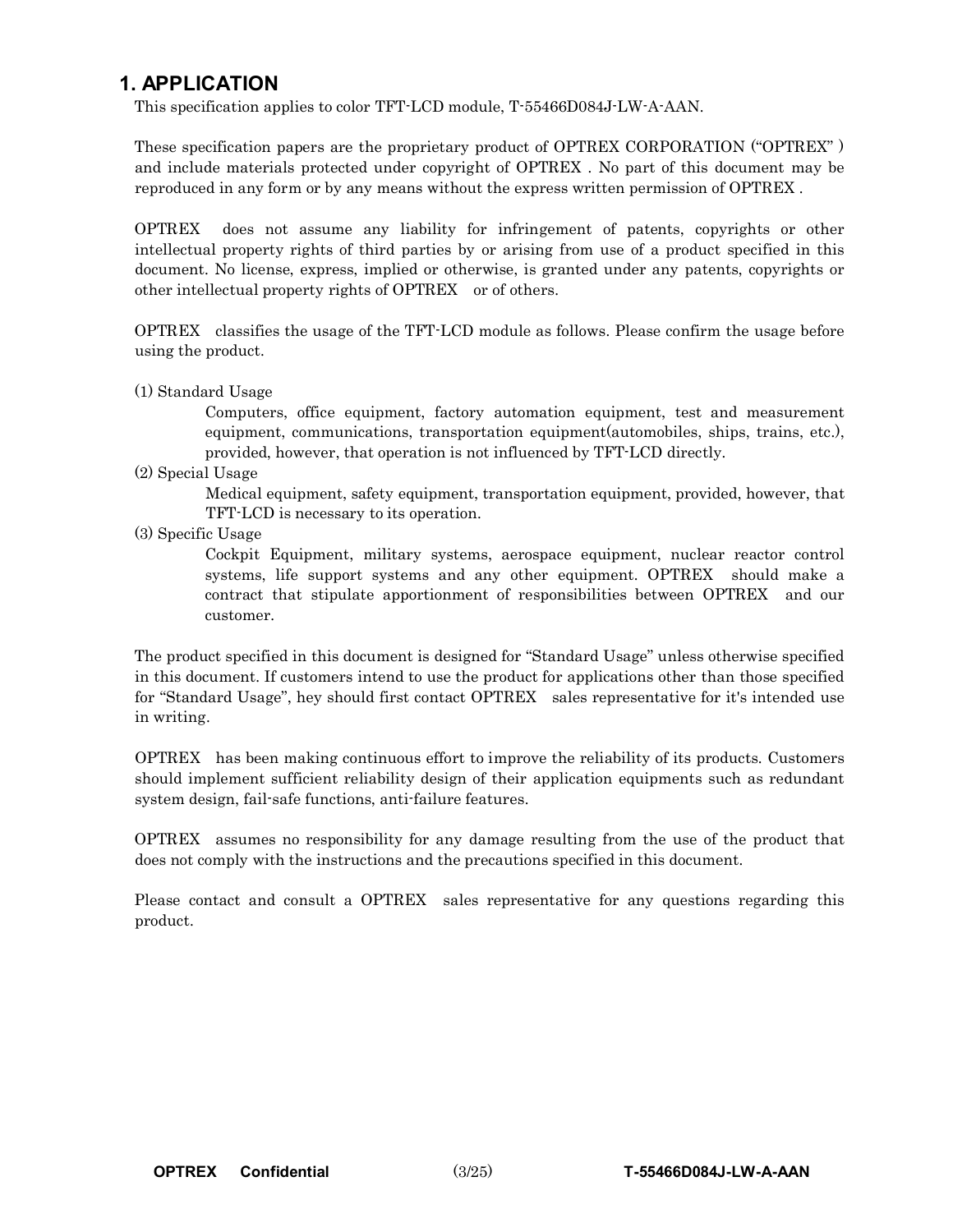### **1. APPLICATION**

This specification applies to color TFT-LCD module, T-55466D084J-LW-A-AAN.

These specification papers are the proprietary product of OPTREX CORPORATION ("OPTREX" ) and include materials protected under copyright of OPTREX . No part of this document may be reproduced in any form or by any means without the express written permission of OPTREX .

OPTREX does not assume any liability for infringement of patents, copyrights or other intellectual property rights of third parties by or arising from use of a product specified in this document. No license, express, implied or otherwise, is granted under any patents, copyrights or other intellectual property rights of OPTREX or of others.

OPTREX classifies the usage of the TFT-LCD module as follows. Please confirm the usage before using the product.

(1) Standard Usage

Computers, office equipment, factory automation equipment, test and measurement equipment, communications, transportation equipment(automobiles, ships, trains, etc.), provided, however, that operation is not influenced by TFT-LCD directly.

(2) Special Usage

Medical equipment, safety equipment, transportation equipment, provided, however, that TFT-LCD is necessary to its operation.

(3) Specific Usage

Cockpit Equipment, military systems, aerospace equipment, nuclear reactor control systems, life support systems and any other equipment. OPTREX should make a contract that stipulate apportionment of responsibilities between OPTREX and our customer.

The product specified in this document is designed for "Standard Usage" unless otherwise specified in this document. If customers intend to use the product for applications other than those specified for "Standard Usage", hey should first contact OPTREX sales representative for it's intended use in writing.

OPTREX has been making continuous effort to improve the reliability of its products. Customers should implement sufficient reliability design of their application equipments such as redundant system design, fail-safe functions, anti-failure features.

OPTREX assumes no responsibility for any damage resulting from the use of the product that does not comply with the instructions and the precautions specified in this document.

Please contact and consult a OPTREX sales representative for any questions regarding this product.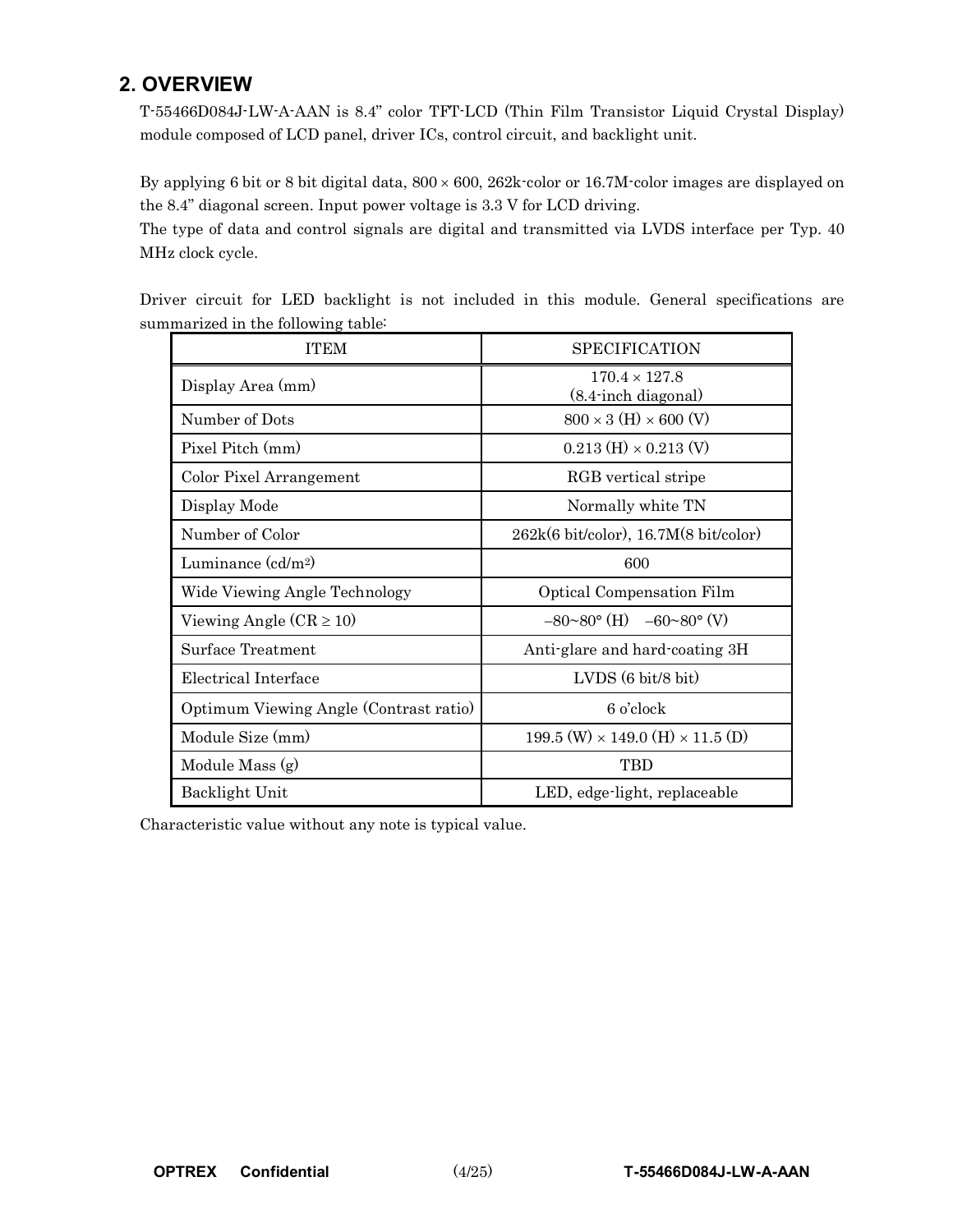## **2. OVERVIEW**

T-55466D084J-LW-A-AAN is 8.4" color TFT-LCD (Thin Film Transistor Liquid Crystal Display) module composed of LCD panel, driver ICs, control circuit, and backlight unit.

By applying 6 bit or 8 bit digital data, 800 × 600, 262k-color or 16.7M-color images are displayed on the 8.4" diagonal screen. Input power voltage is 3.3 V for LCD driving.

The type of data and control signals are digital and transmitted via LVDS interface per Typ. 40 MHz clock cycle.

|  |  |                                    |  |  |  | Driver circuit for LED backlight is not included in this module. General specifications are |  |
|--|--|------------------------------------|--|--|--|---------------------------------------------------------------------------------------------|--|
|  |  | summarized in the following table: |  |  |  |                                                                                             |  |

| <b>ITEM</b>                            | <b>SPECIFICATION</b>                                        |
|----------------------------------------|-------------------------------------------------------------|
| Display Area (mm)                      | $170.4 \times 127.8$<br>$(8.4 \cdot \text{inch diagonal})$  |
| Number of Dots                         | $800 \times 3$ (H) $\times 600$ (V)                         |
| Pixel Pitch (mm)                       | $0.213$ (H) $\times$ 0.213 (V)                              |
| Color Pixel Arrangement                | RGB vertical stripe                                         |
| Display Mode                           | Normally white TN                                           |
| Number of Color                        | $262k(6 \text{ bit/color})$ , 16.7M $(8 \text{ bit/color})$ |
| Luminance $(cd/m^2)$                   | 600                                                         |
| Wide Viewing Angle Technology          | Optical Compensation Film                                   |
| Viewing Angle $(CR \ge 10)$            | $-80^{\circ}80^{\circ}$ (H) $-60^{\circ}80^{\circ}$ (V)     |
| Surface Treatment                      | Anti-glare and hard-coating 3H                              |
| Electrical Interface                   | $LVDS(6 \text{ bit/8 bit})$                                 |
| Optimum Viewing Angle (Contrast ratio) | 6 o'clock                                                   |
| Module Size (mm)                       | $199.5$ (W) $\times$ 149.0 (H) $\times$ 11.5 (D)            |
| Module Mass (g)                        | <b>TBD</b>                                                  |
| Backlight Unit                         | LED, edge-light, replaceable                                |

Characteristic value without any note is typical value.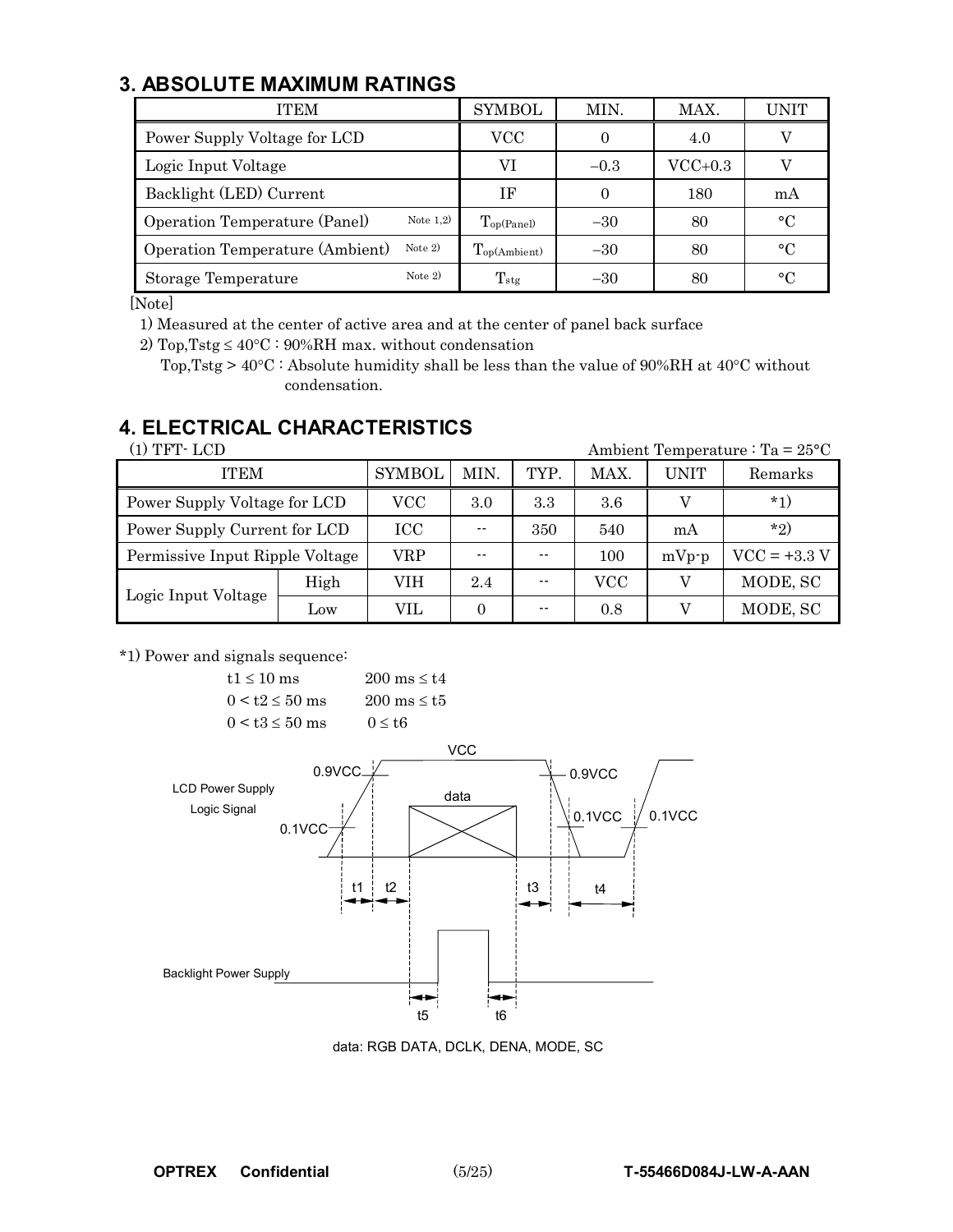## **3. ABSOLUTE MAXIMUM RATINGS**

| <b>ITEM</b>                                  | SYMBOL                      | MIN.     | MAX.                    | UNIT |
|----------------------------------------------|-----------------------------|----------|-------------------------|------|
| Power Supply Voltage for LCD                 | VCC                         |          | 4.0                     |      |
| Logic Input Voltage                          | VI                          | $-0.3$   | $\rm{VCC}{\text{+}}0.3$ |      |
| Backlight (LED) Current                      | ΙF                          | $\theta$ | 180                     | mA   |
| Note $1,2)$<br>Operation Temperature (Panel) | $T_{\text{op(Panel)}}$      | $-30$    | 80                      | °C   |
| Note $2)$<br>Operation Temperature (Ambient) | $T_{\text{op(Ambient)}}$    | $-30$    | 80                      | °C   |
| Note $2)$<br>Storage Temperature             | $\mathrm{T}_{\mathrm{stg}}$ | $-30$    | 80                      | °C   |

[Note]

1) Measured at the center of active area and at the center of panel back surface

2) Top, Tstg  $\leq 40^{\circ}\text{C}$ : 90%RH max. without condensation

Top,Tstg > 40°C : Absolute humidity shall be less than the value of 90%RH at 40°C without condensation.

## **4. ELECTRICAL CHARACTERISTICS**

| (1) TFT- LCD<br>Ambient Temperature : Ta = $25^{\circ}$ C |            |               |      |      |      |             |                |  |  |  |
|-----------------------------------------------------------|------------|---------------|------|------|------|-------------|----------------|--|--|--|
| <b>ITEM</b>                                               |            | <b>SYMBOL</b> | MIN. | TYP. | MAX. | <b>UNIT</b> | Remarks        |  |  |  |
| Power Supply Voltage for LCD                              | $\rm{VCC}$ | 3.0           | 3.3  | 3.6  |      | $*_{1}$     |                |  |  |  |
| Power Supply Current for LCD                              |            | ICC           |      | 350  | 540  | mA          | $*_{2}$        |  |  |  |
| Permissive Input Ripple Voltage                           |            | VRP           | 100  |      |      | $mVp-p$     | $VCC = +3.3 V$ |  |  |  |
| Logic Input Voltage                                       | High       | VIH           | 2.4  |      | VCC  |             | MODE, SC       |  |  |  |
|                                                           | Low        | VIL.          | 0    | --   | 0.8  |             | MODE, SC       |  |  |  |

\*1) Power and signals sequence:

 $t1 \le 10$  ms  $200$  ms  $\le t4$  $0 \leq t2 \leq 50$  ms  $200$  ms  $\leq t5$  $0 < t3 \le 50$  ms  $0 \le t6$ 



data: RGB DATA, DCLK, DENA, MODE, SC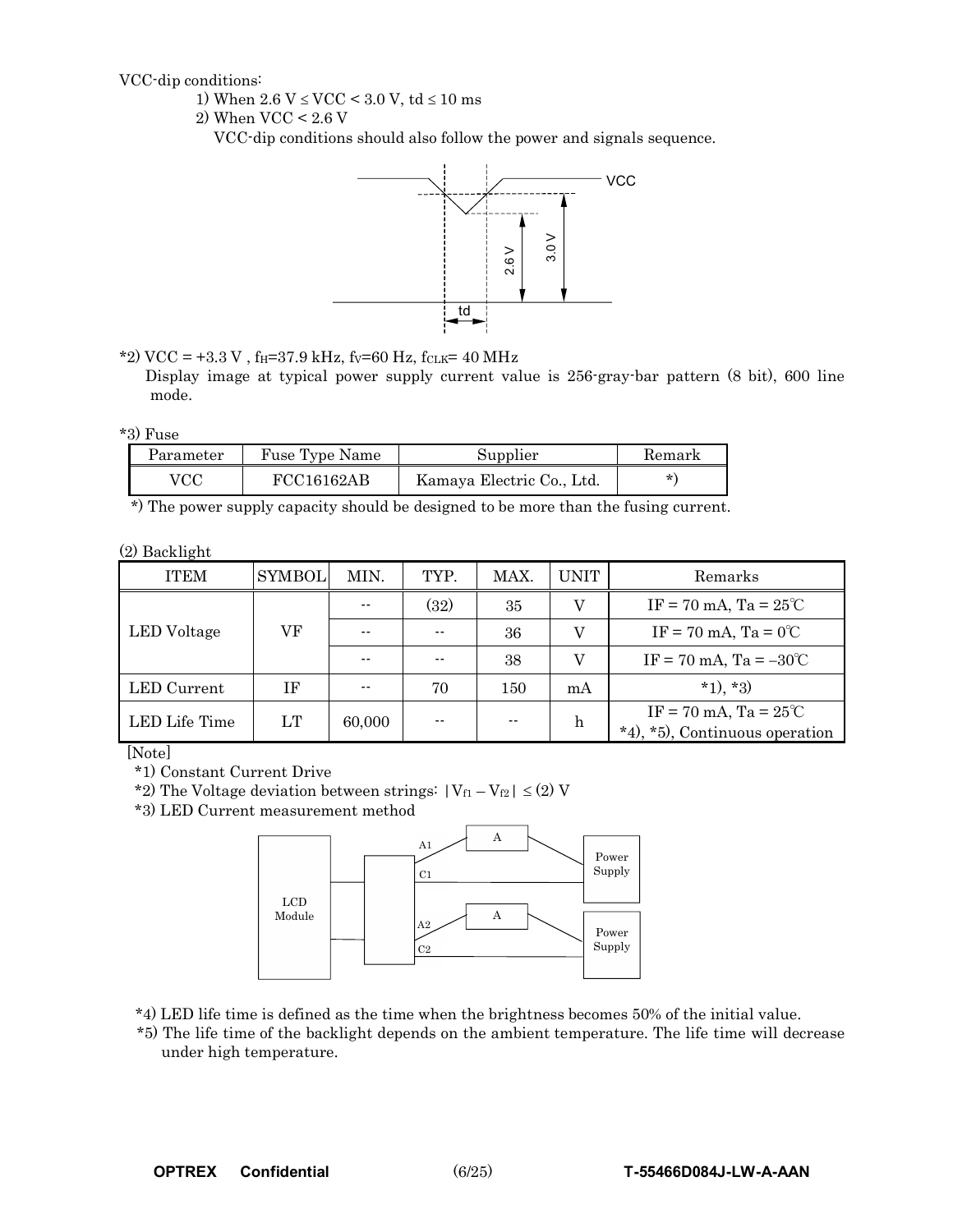VCC-dip conditions:

1) When  $2.6 \text{ V} \leq \text{VCC} < 3.0 \text{ V}$ , td  $\leq 10 \text{ ms}$ 

2) When VCC < 2.6 V

VCC-dip conditions should also follow the power and signals sequence.



\*2) VCC = +3.3 V,  $f_H$ =37.9 kHz,  $f_V$ =60 Hz,  $f_{CLK}$ = 40 MHz

Display image at typical power supply current value is 256-gray-bar pattern (8 bit), 600 line mode.

\*3) Fuse

| Parameter | Fuse Type Name | Supplier                  | Remark  |
|-----------|----------------|---------------------------|---------|
| VCC       | FCC16162AB     | Kamaya Electric Co., Ltd. | $\star$ |

\*) The power supply capacity should be designed to be more than the fusing current.

(2) Backlight

| <b>ITEM</b>   | <b>SYMBOL</b> | MIN.   | TYP. | MAX. | <b>UNIT</b> | Remarks                                                                            |
|---------------|---------------|--------|------|------|-------------|------------------------------------------------------------------------------------|
|               |               |        | (32) | 35   | V           | $IF = 70 \text{ mA}$ , $Ta = 25^{\circ}C$                                          |
| LED Voltage   | VF            | $- -$  |      | 36   |             | IF = 70 mA, Ta = $0^{\circ}$ C                                                     |
|               |               | $- -$  |      | 38   | V           | $IF = 70 \text{ mA}, T = -30^{\circ}C$                                             |
| LED Current   | ΙF            |        | 70   | 150  | mA          | $*1$ , $*3$ )                                                                      |
| LED Life Time | LT            | 60,000 |      | --   | h           | $IF = 70 \text{ mA}$ , $Ta = 25^{\circ}C$<br>*5), Continuous operation<br>$*_4$ ). |

[Note]

\*1) Constant Current Drive

\*2) The Voltage deviation between strings:  $|V_{f1} - V_{f2}| \leq (2)$  V

\*3) LED Current measurement method



\*4) LED life time is defined as the time when the brightness becomes 50% of the initial value.

\*5) The life time of the backlight depends on the ambient temperature. The life time will decrease under high temperature.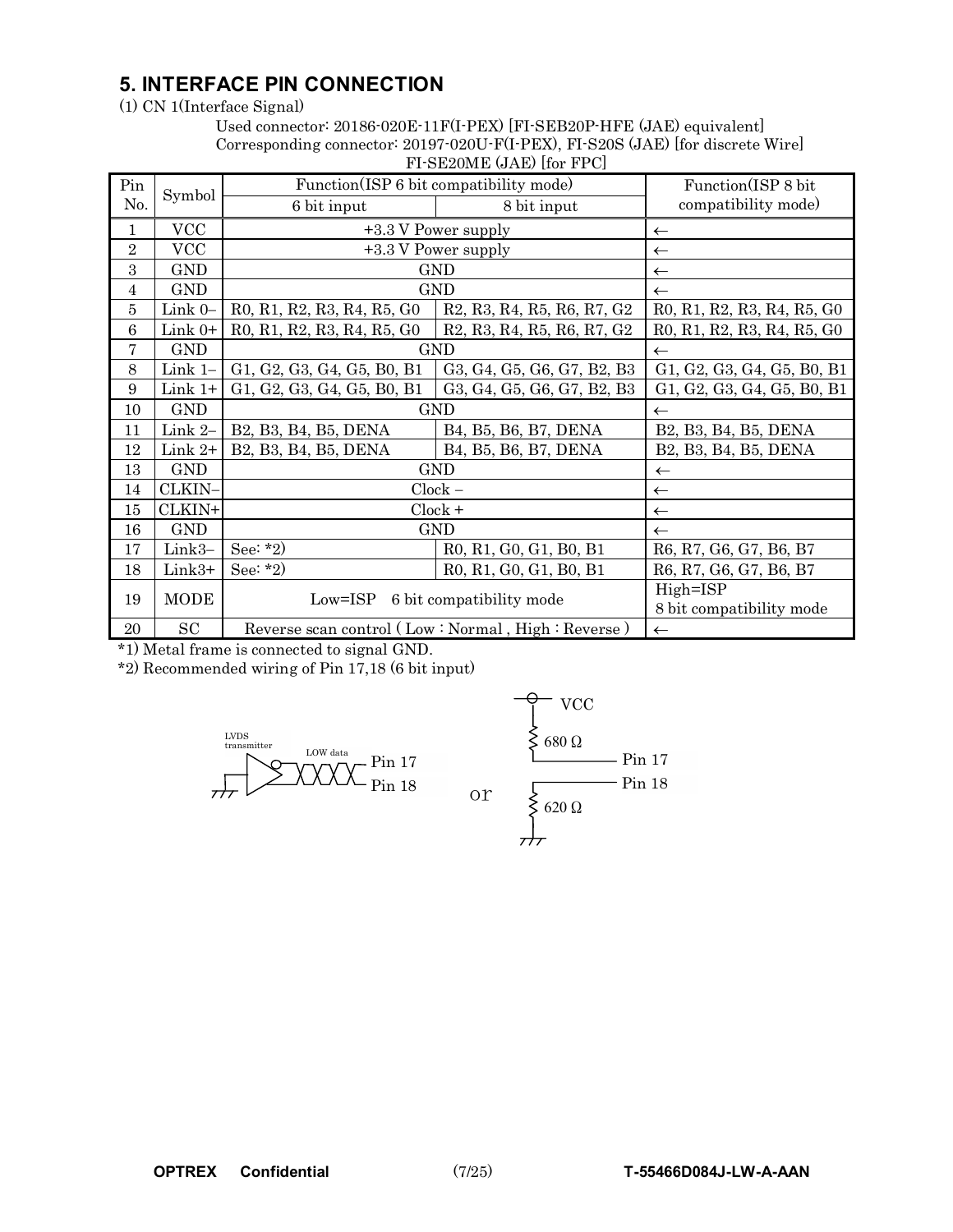## **5. INTERFACE PIN CONNECTION**

(1) CN 1(Interface Signal)

#### Used connector: 20186-020E-11F(I-PEX) [FI-SEB20P-HFE (JAE) equivalent] Corresponding connector: 20197-020U-F(I-PEX), FI-S20S (JAE) [for discrete Wire] FI-SE20ME (JAE) [for FPC]

|                | $\sim$ 1 DH20MH (0.1H) 1101 1 1 O |                            |                                                                                                                      |                            |  |  |  |  |  |  |  |
|----------------|-----------------------------------|----------------------------|----------------------------------------------------------------------------------------------------------------------|----------------------------|--|--|--|--|--|--|--|
| Pin            | Symbol                            |                            | Function(ISP 6 bit compatibility mode)                                                                               | Function(ISP 8 bit         |  |  |  |  |  |  |  |
| No.            |                                   | 6 bit input                | 8 bit input                                                                                                          | compatibility mode)        |  |  |  |  |  |  |  |
| 1              | <b>VCC</b>                        |                            | +3.3 V Power supply                                                                                                  | $\leftarrow$               |  |  |  |  |  |  |  |
| $\overline{2}$ | <b>VCC</b>                        |                            | +3.3 V Power supply                                                                                                  | $\leftarrow$               |  |  |  |  |  |  |  |
| 3              | <b>GND</b>                        |                            | <b>GND</b>                                                                                                           | $\leftarrow$               |  |  |  |  |  |  |  |
| $\overline{4}$ | <b>GND</b>                        |                            | <b>GND</b>                                                                                                           | $\leftarrow$               |  |  |  |  |  |  |  |
| 5              | Link 0-                           | R0, R1, R2, R3, R4, R5, G0 | R <sub>2</sub> , R <sub>3</sub> , R <sub>4</sub> , R <sub>5</sub> , R <sub>6</sub> , R <sub>7</sub> , G <sub>2</sub> | R0, R1, R2, R3, R4, R5, G0 |  |  |  |  |  |  |  |
| 6              | Link $0+$                         | R0, R1, R2, R3, R4, R5, G0 | R <sub>2</sub> , R <sub>3</sub> , R <sub>4</sub> , R <sub>5</sub> , R <sub>6</sub> , R <sub>7</sub> , G <sub>2</sub> | R0, R1, R2, R3, R4, R5, G0 |  |  |  |  |  |  |  |
| 7              | <b>GND</b>                        |                            | <b>GND</b>                                                                                                           | $\leftarrow$               |  |  |  |  |  |  |  |
| 8              | Link $1-$                         | G1, G2, G3, G4, G5, B0, B1 | G3, G4, G5, G6, G7, B2, B3                                                                                           | G1, G2, G3, G4, G5, B0, B1 |  |  |  |  |  |  |  |
| 9              | $Link 1+$                         | G1, G2, G3, G4, G5, B0, B1 | G3, G4, G5, G6, G7, B2, B3                                                                                           | G1, G2, G3, G4, G5, B0, B1 |  |  |  |  |  |  |  |
| 10             | <b>GND</b>                        | <b>GND</b>                 | $\leftarrow$                                                                                                         |                            |  |  |  |  |  |  |  |
| 11             | Link 2-                           | B2, B3, B4, B5, DENA       | B4, B5, B6, B7, DENA                                                                                                 | B2, B3, B4, B5, DENA       |  |  |  |  |  |  |  |
| 12             | Link $2+$                         | B2, B3, B4, B5, DENA       | B4, B5, B6, B7, DENA                                                                                                 | B2, B3, B4, B5, DENA       |  |  |  |  |  |  |  |
| 13             | <b>GND</b>                        |                            | <b>GND</b>                                                                                                           | $\leftarrow$               |  |  |  |  |  |  |  |
| 14             | CLKIN-                            |                            | $Clock -$                                                                                                            | $\leftarrow$               |  |  |  |  |  |  |  |
| 15             | CLKIN+                            |                            | $Clock +$                                                                                                            | $\leftarrow$               |  |  |  |  |  |  |  |
| 16             | <b>GND</b>                        |                            | <b>GND</b>                                                                                                           | $\leftarrow$               |  |  |  |  |  |  |  |
| 17             | Link3-                            | See: $*2)$                 | R0, R1, G0, G1, B0, B1                                                                                               | R6, R7, G6, G7, B6, B7     |  |  |  |  |  |  |  |
| 18             | Link3+                            | See: $*2)$                 | R0, R1, G0, G1, B0, B1                                                                                               | R6, R7, G6, G7, B6, B7     |  |  |  |  |  |  |  |
| 19             | <b>MODE</b>                       |                            | Low=ISP 6 bit compatibility mode                                                                                     | High=ISP                   |  |  |  |  |  |  |  |
|                |                                   |                            |                                                                                                                      | 8 bit compatibility mode   |  |  |  |  |  |  |  |
| 20             | SC                                |                            | Reverse scan control (Low: Normal, High: Reverse)                                                                    | $\leftarrow$               |  |  |  |  |  |  |  |

\*1) Metal frame is connected to signal GND.

\*2) Recommended wiring of Pin 17,18 (6 bit input)



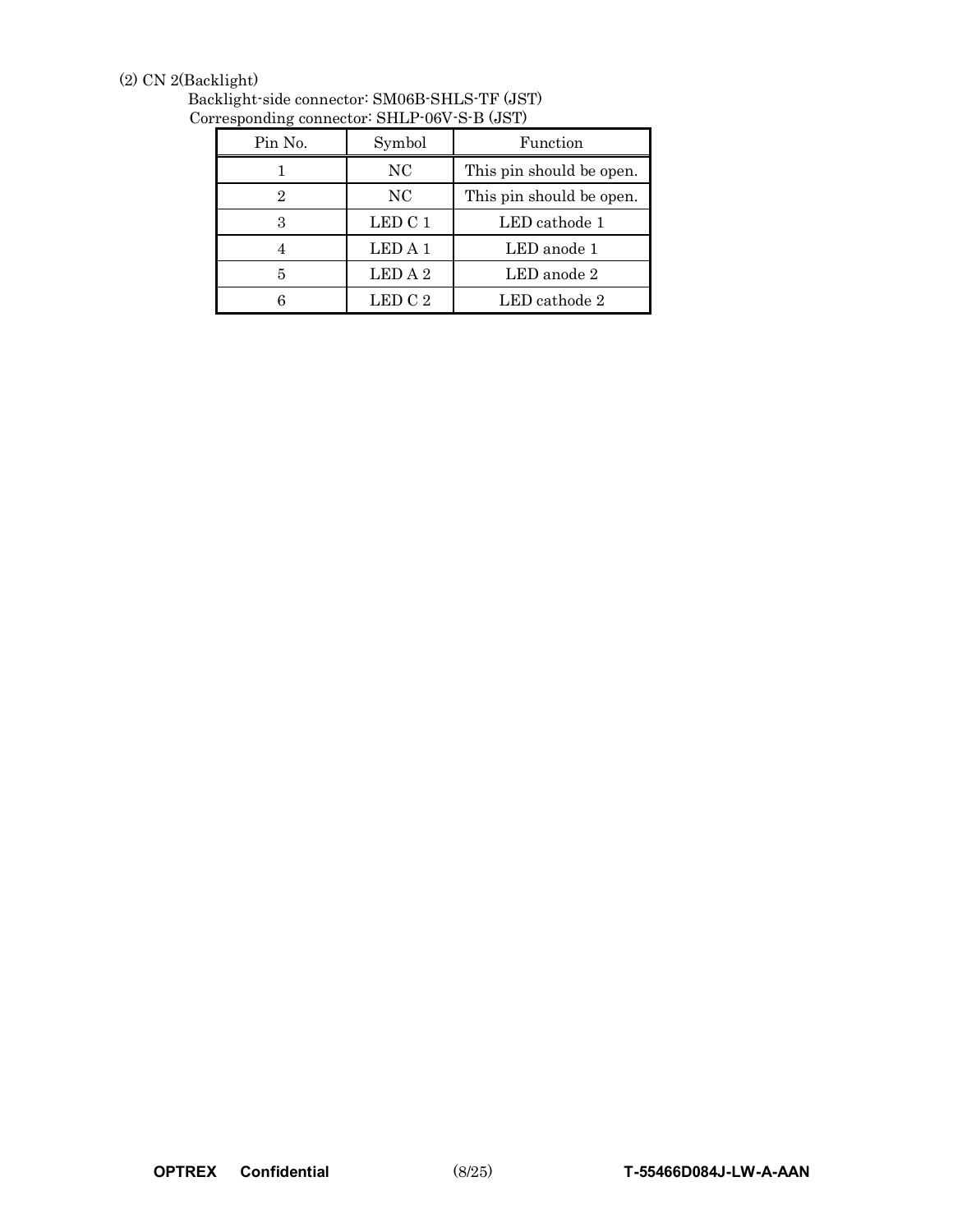### (2) CN 2(Backlight)

| $1$ csponding connector $\cdot$ prime over $\sigma$ D (801) |         |                          |  |  |  |  |  |  |  |  |
|-------------------------------------------------------------|---------|--------------------------|--|--|--|--|--|--|--|--|
| Pin No.                                                     | Symbol  | Function                 |  |  |  |  |  |  |  |  |
|                                                             | NC      | This pin should be open. |  |  |  |  |  |  |  |  |
| $\overline{2}$                                              | NC      | This pin should be open. |  |  |  |  |  |  |  |  |
| 3                                                           | LED C 1 | LED cathode 1            |  |  |  |  |  |  |  |  |
|                                                             | LED A 1 | LED anode 1              |  |  |  |  |  |  |  |  |
| 5                                                           | LED A 2 | $LED$ anode $2$          |  |  |  |  |  |  |  |  |
|                                                             | LED C 2 | LED cathode 2            |  |  |  |  |  |  |  |  |

Backlight-side connector: SM06B-SHLS-TF (JST) Corresponding connector: SHLP-06V-S-B (JST)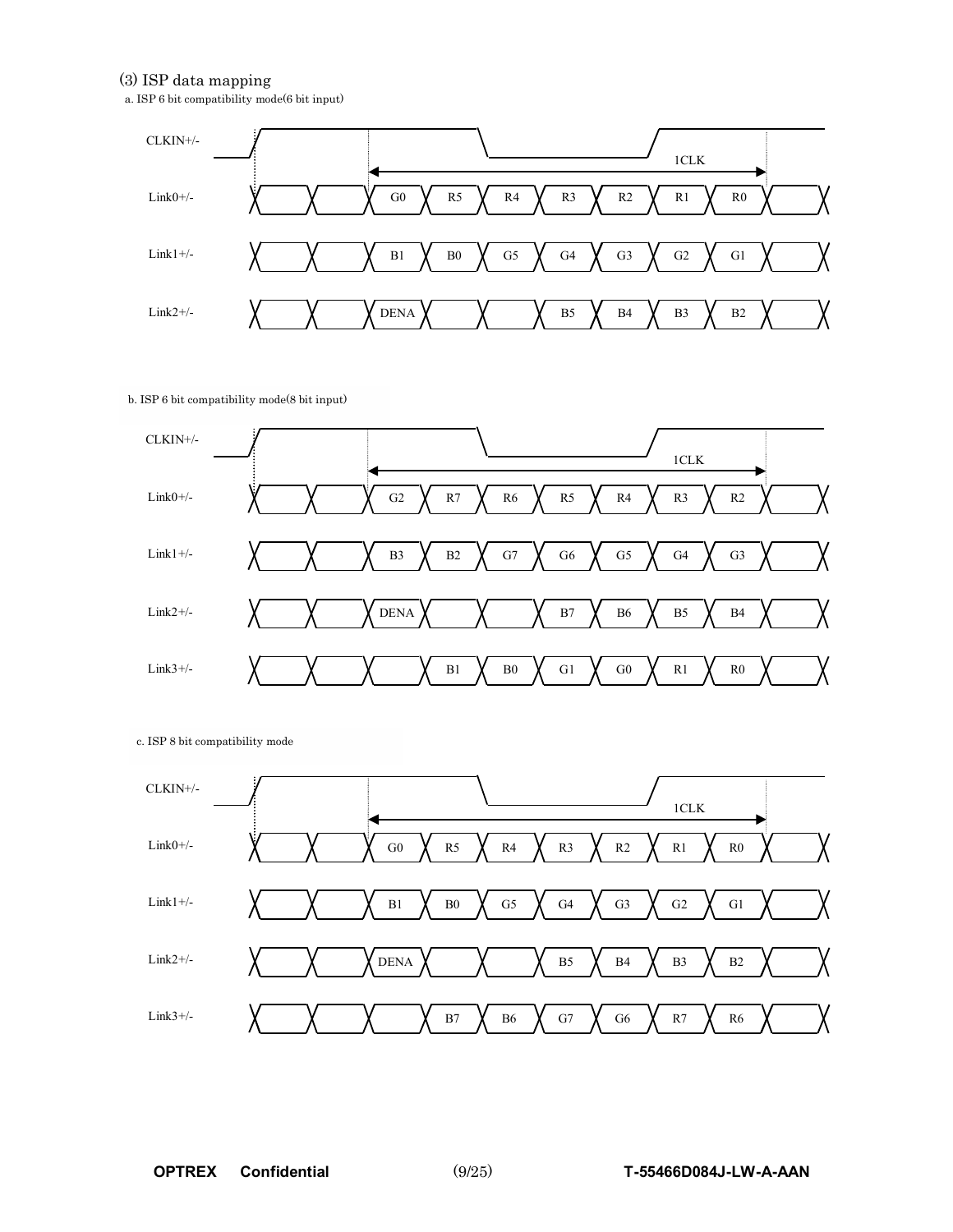#### (3) ISP data mapping

a. ISP 6 bit compatibility mode(6 bit input)



b. ISP 6 bit compatibility mode(8 bit input)



c. ISP 8 bit compatibility mode

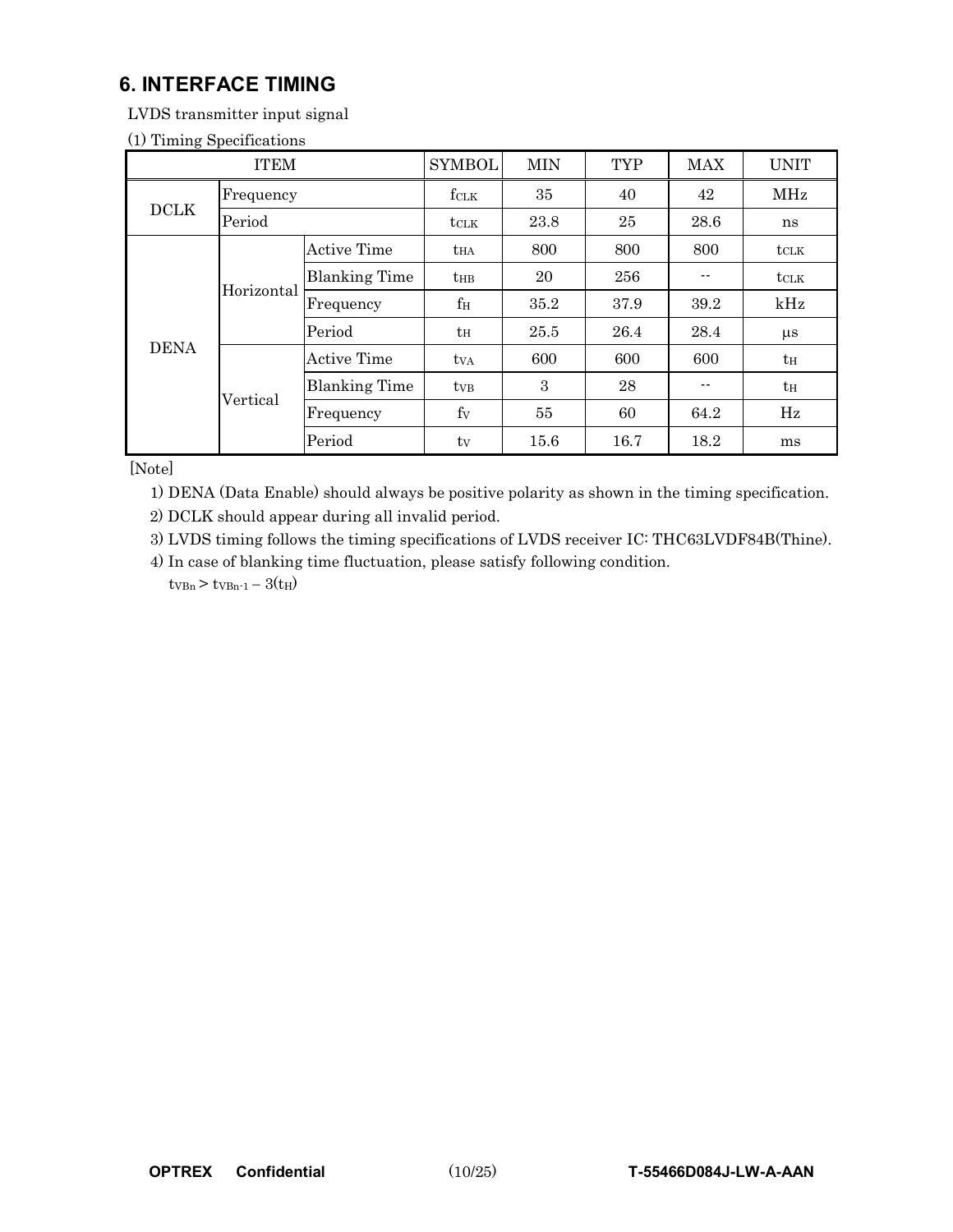## **6. INTERFACE TIMING**

LVDS transmitter input signal

|  | (1) Timing Specifications |
|--|---------------------------|
|--|---------------------------|

| <b>ITEM</b> |            |                      | <b>SYMBOL</b>   | <b>MIN</b> | <b>TYP</b> | <b>MAX</b> | <b>UNIT</b>      |
|-------------|------------|----------------------|-----------------|------------|------------|------------|------------------|
|             | Frequency  |                      | fclk            | 35         | 40         | 42         | <b>MHz</b>       |
| <b>DCLK</b> | Period     |                      | tclk            | 23.8       | 25         | 28.6       | ns               |
|             |            | <b>Active Time</b>   | $t_{HA}$        | 800        | 800        | 800        | $t_{\text{CLK}}$ |
|             | Horizontal | <b>Blanking Time</b> | $t_{\rm HB}$    | 20         | 256        |            | <b>t</b> CLK     |
|             |            | Frequency            | $f_{\rm H}$     | 35.2       | 37.9       | 39.2       | kHz              |
|             |            | Period               | $t_H$           | 25.5       | 26.4       | 28.4       | $\mu$ s          |
| <b>DENA</b> |            | Active Time          | tv <sub>A</sub> | 600        | 600        | 600        | $t_{\rm H}$      |
|             | Vertical   | <b>Blanking Time</b> | $t_{VB}$        | 3          | 28         |            | $t_{\rm H}$      |
|             |            | Frequency            | $f_V$           | 55         | 60         | 64.2       | Hz               |
|             |            | Period               | $t_{V}$         | 15.6       | 16.7       | 18.2       | ms               |

[Note]

1) DENA (Data Enable) should always be positive polarity as shown in the timing specification.

2) DCLK should appear during all invalid period.

3) LVDS timing follows the timing specifications of LVDS receiver IC: THC63LVDF84B(Thine).

4) In case of blanking time fluctuation, please satisfy following condition.  $t_{VBn}$  >  $t_{VBn-1}$  -  $3(t_H)$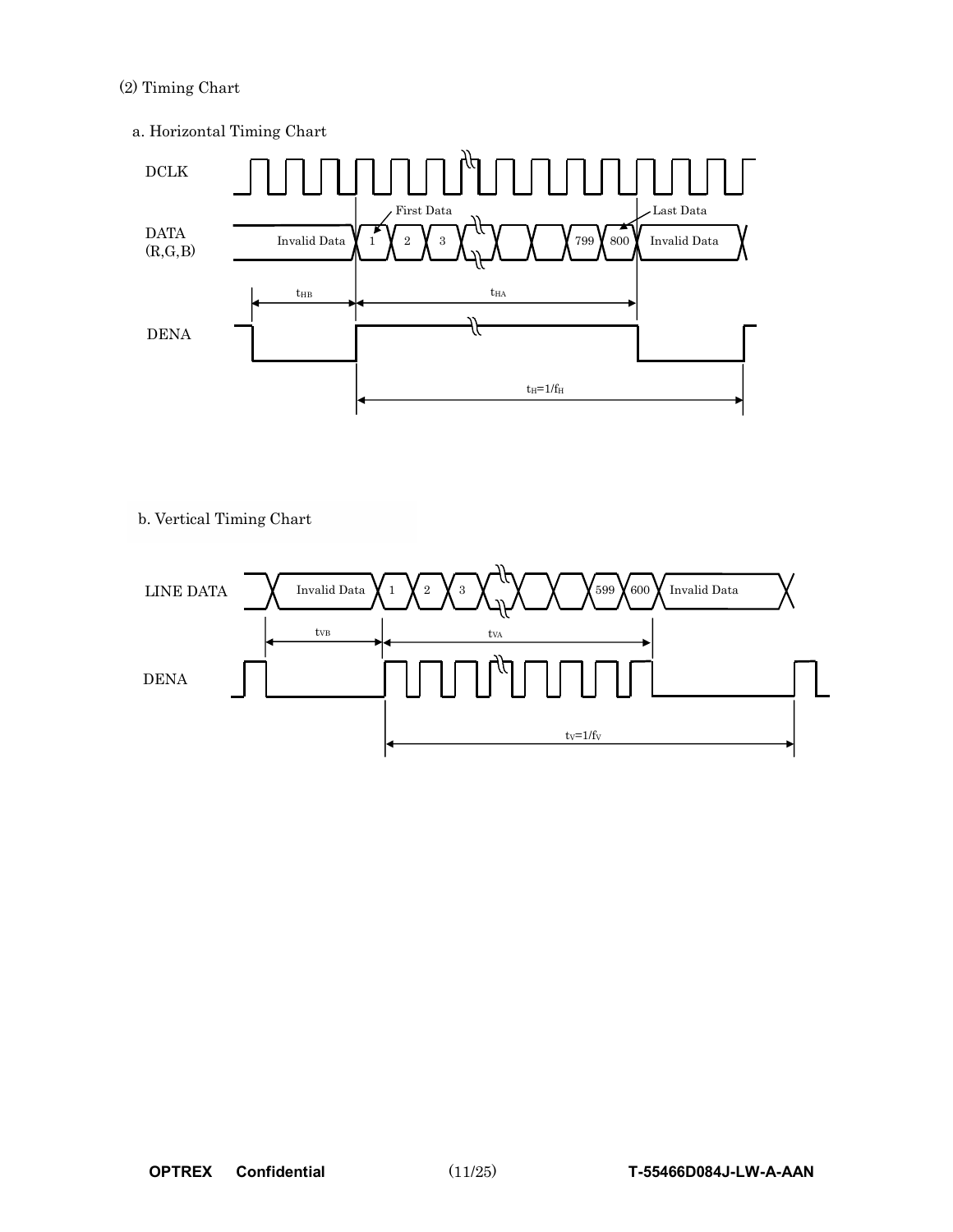#### (2) Timing Chart

a. Horizontal Timing Chart



b. Vertical Timing Chart

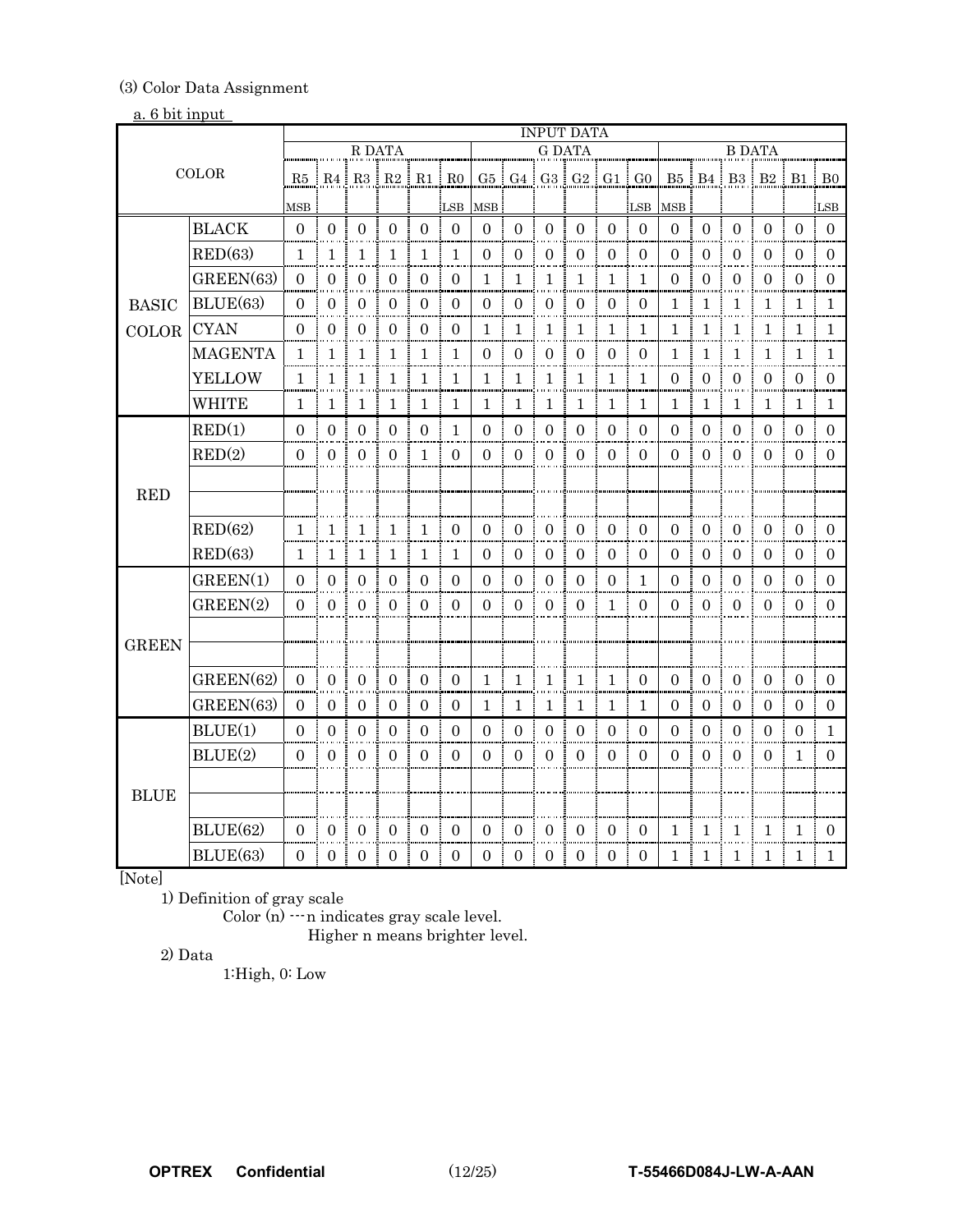#### (3) Color Data Assignment

#### a. 6 bit input

|              |                 |                | <b>INPUT DATA</b> |                     |                                              |                  |                     |                    |                  |                     |                |                |                               |                |                  |                             |                  |                |                |
|--------------|-----------------|----------------|-------------------|---------------------|----------------------------------------------|------------------|---------------------|--------------------|------------------|---------------------|----------------|----------------|-------------------------------|----------------|------------------|-----------------------------|------------------|----------------|----------------|
|              |                 |                |                   | R DATA              |                                              |                  |                     |                    |                  | <b>G DATA</b>       |                |                |                               | <b>B DATA</b>  |                  |                             |                  |                |                |
|              | COLOR           |                |                   |                     | $R5 \mid R4 \mid R3 \mid R2 \mid R1 \mid R0$ |                  |                     |                    |                  |                     |                |                | $G5$ $G4$ $G3$ $G2$ $G1$ $G0$ |                |                  | B5   B4   B3   B2   B1   B0 |                  |                |                |
|              |                 | MSB            |                   |                     |                                              |                  | LSB                 | MSB                |                  |                     |                |                | LSB                           | MSB            |                  |                             |                  |                | LSB            |
|              | <b>BLACK</b>    | $\theta$       | $\overline{0}$    | $\overline{0}$      | $\mathbf{0}$                                 | $\overline{0}$   | $\overline{0}$      | $\overline{0}$     | $\mathbf{0}$     | $\overline{0}$      | $\mathbf{0}$   | $\overline{0}$ | $\overline{0}$                | $\mathbf{0}$   | $\mathbf{0}$     | $\overline{0}$              | $\mathbf{0}$     | $\Omega$       | $\Omega$       |
|              | RED(63)         | 1.             | 1                 | 1                   | 1                                            | 1                | $\mathbf{1}$        | $\left( 0 \right)$ | $\Omega$         | $\overline{0}$      | $\Omega$       | $\Omega$       | $\Omega$                      | $\Omega$       | $\Omega$         | $\Omega$                    | $\Omega$         | $\theta$       | $\theta$       |
|              | GREEN(63)       | $\Omega$       | $\overline{0}$    | $\overline{0}$      | $\mathbf{0}$                                 | $\overline{0}$   | $\mathbf{0}$        | $\mathbf{1}$       | $\mathbf{1}$     | $\mathbf{1}$        | 1              | 1              | 1                             | $\overline{0}$ | $\overline{0}$   | $\overline{0}$              | $\overline{0}$   | $\Omega$       | $\Omega$       |
| <b>BASIC</b> | BLUE(63)        | $\theta$       | $\overline{0}$    | $\overline{0}$      | $\boldsymbol{0}$                             | $\overline{0}$   | $\overline{0}$<br>÷ | $\Omega$           | $\overline{0}$   | $\mathbf{0}$        | $\overline{0}$ | $\overline{0}$ | $\overline{0}$<br>÷           | 1              | 1                | $\mathbf{1}$                | $\overline{1}$   | -1             | Т.             |
| <b>COLOR</b> | <b>CYAN</b>     | $\Omega$       | $\boldsymbol{0}$  | $\mathbf{0}$        | $\boldsymbol{0}$                             | $\overline{0}$   | $\boldsymbol{0}$    | $\mathbf{1}$       | $\mathbf{1}$     | $\mathbf{1}$        | $1\,$          | 1              | 1                             | $\mathbf{1}$   | $\mathbf{1}$     | 1:                          | $\mathbf{1}$     | 1              | 1              |
|              | <b>MAGENTA</b>  | 1              | 1                 | 1                   | 1                                            | $\mathbf{1}$     | -1                  | $\theta$           | $\theta$         | $\theta$            | $\overline{0}$ | $\overline{0}$ | $\overline{0}$<br>÷           | 1              | 1                | 1                           | 1                | 1              | $\mathbf{1}$   |
|              | <b>YELLOW</b>   | $\mathbf{1}$   | 1                 | $\mathbf{1}$        | $\mathbf{1}$                                 | $\mathbf{1}$     | $\mathbf{1}$        | 1                  | $\mathbf{1}$     | $\mathbf{1}$        | $\mathbf{1}$   | $\mathbf{1}$   | 1                             | $\mathbf{0}$   | $\boldsymbol{0}$ | $\mathbf{0}$                | $\boldsymbol{0}$ | $\mathbf{0}$   | $\overline{0}$ |
|              | <b>WHITE</b>    | 1              | 1                 | 1                   | 1                                            | 1                | $\mathbf{1}$        | 1                  | 1                | 1                   | 1              | $\mathbf{1}$   | 1                             | 1              | $\mathbf{1}$     | 1                           | 1                | 1              | 1              |
|              | RED(1)          | $\overline{0}$ | $\Omega$          | $\Omega$            | $\Omega$                                     | $\Omega$         | $\mathbf{1}$        | $\Omega$           | $\mathbf{0}$     | $\boldsymbol{0}$    | $\Omega$       | $\theta$       | ÷<br>$\Omega$                 | $\Omega$       | $\mathbf{0}$     | $\Omega$                    | $\Omega$         | $\Omega$       | $\Omega$       |
|              | RED(2)          | $\Omega$       | $\Omega$          | $\Omega$            | $\overline{0}$                               | $\mathbf{1}$     | $\theta$            | $\Omega$           | $\Omega$         | $\overline{0}$      | $\theta$       | $\Omega$       | $\overline{0}$                | $\Omega$       | $\overline{0}$   | $\theta$                    | $\Omega$         | $\Omega$       | $\Omega$       |
|              |                 |                |                   |                     |                                              |                  |                     |                    |                  |                     |                |                |                               |                |                  |                             |                  |                |                |
| <b>RED</b>   |                 |                |                   |                     |                                              |                  |                     |                    |                  |                     |                |                |                               |                |                  |                             |                  |                |                |
|              | RED(62)         | 1.             | $\mathbf{1}$      | 1                   | 1                                            | $\mathbf{1}$     | $\overline{0}$      | $\overline{0}$     | $\theta$         | $\boldsymbol{0}$    | $\overline{0}$ | $\overline{0}$ | $\Omega$                      | $\Omega$       | $\overline{0}$   | $\overline{0}$              | $\overline{0}$   | $\overline{0}$ | 0              |
|              | RED(63)         | 1              | 1                 | 1                   | 1                                            | $\mathbf{1}$     | $\mathbf{1}$        | $\Omega$           | $\Omega$         | $\Omega$            | 0              | $\Omega$       | $\theta$                      | $\Omega$       | $\Omega$         | $\Omega$                    | 0                | $\theta$       | $\theta$       |
|              | GREEN(1)        | $\Omega$       | $\overline{0}$    | $\Omega$            | $\Omega$                                     | $\Omega$         | $\mathbf{0}$        | $\overline{0}$     | $\boldsymbol{0}$ | $\boldsymbol{0}$    | $\Omega$       | $\overline{0}$ | $\mathbf{1}$                  | $\Omega$       | $\overline{0}$   | $\Omega$                    | $\Omega$         | $\Omega$       | 0              |
|              | GREEN(2)        | $\Omega$       | $\Omega$          | $\Omega$            | $\overline{0}$                               | $\overline{0}$   | $\overline{0}$      | $\Omega$           | $\mathbf{0}$     | $\overline{0}$      | $\overline{0}$ | 1:0            |                               | $\Omega$       | $\overline{0}$   | $\Omega$                    | $\overline{0}$   | $\Omega$       | $\Omega$       |
|              |                 |                |                   |                     |                                              |                  |                     |                    |                  |                     |                |                |                               |                |                  |                             |                  |                |                |
| <b>GREEN</b> |                 |                |                   |                     |                                              |                  |                     |                    |                  |                     |                |                |                               |                |                  |                             |                  |                |                |
|              | GREEN(62)       | $\overline{0}$ | $\boldsymbol{0}$  | 0                   | 0                                            | $\boldsymbol{0}$ | $\mathbf{0}$        | 1                  | $\mathbf{1}$     | $\mathbf{1}$        | 1              | 1              | $\theta$                      | $\mathbf{0}$   | $\mathbf{0}$     | $\mathbf{0}$                | $\mathbf{0}$     | $\overline{0}$ | $\theta$       |
|              | GREEN(63)       | $\Omega$       | $\overline{0}$    | 0                   | 0                                            | 0                | $\overline{0}$      | 1                  | $\mathbf{1}$     | 1                   | 1              | 1              | 1                             | 0              | $\theta$         | $\left( 0 \right)$          | $\Omega$         | $\theta$       | $\theta$       |
|              | BLUE(1)         | $\Omega$       | $\theta$          | $\Omega$            | $\Omega$                                     | $\overline{0}$   | $\overline{0}$      | 0                  | $\overline{0}$   | $\boldsymbol{0}$    | $\overline{0}$ | $\mathbf{0}$   | $\overline{0}$                | $\Omega$       | $\boldsymbol{0}$ | $\Omega$                    | $\mathbf{0}$     | $\theta$       | 1.             |
|              | BLUE(2)         | $\overline{0}$ | $\overline{0}$    | $\overline{0}$<br>ŧ | $\overline{0}$<br>ŧ                          | $\overline{0}$   | $\overline{0}$<br>÷ | $\overline{0}$     | $\overline{0}$   | $\overline{0}$<br>ŧ | $\overline{0}$ | $\overline{0}$ | $\overline{0}$<br>÷           | $\overline{0}$ | $\overline{0}$   | $\overline{0}$              | $\overline{0}$   | $\mathbf{1}$   | $\Omega$       |
|              |                 |                |                   |                     |                                              |                  |                     |                    |                  |                     |                |                |                               |                |                  |                             |                  |                |                |
| <b>BLUE</b>  |                 |                |                   |                     |                                              |                  |                     |                    |                  |                     |                |                |                               |                |                  |                             |                  |                |                |
|              | <b>BLUE(62)</b> | $\Omega$       | $\Omega$          | $\Omega$            | $\Omega$                                     | $\Omega$         | $\overline{0}$      | 0                  | $\Omega$         | $\mathbf{0}$        | $\theta$       | $\Omega$       | $\Omega$                      | 1              | $\mathbf{1}$     | 1                           | $\mathbf{1}$     | 1              | 0              |
|              | BLUE(63)        | 0              | $\Omega$          | 0                   | $\Omega$                                     | $\Omega$         | $\Omega$            | 0                  | $\Omega$         | $\Omega$            | 0              | $\Omega$       | $\Omega$                      | 1              | 1                | 1                           | 1                | ı.             | L              |

[Note]

1) Definition of gray scale

Color (n)  $\cdots$ n indicates gray scale level.

Higher n means brighter level.

2) Data

1:High, 0: Low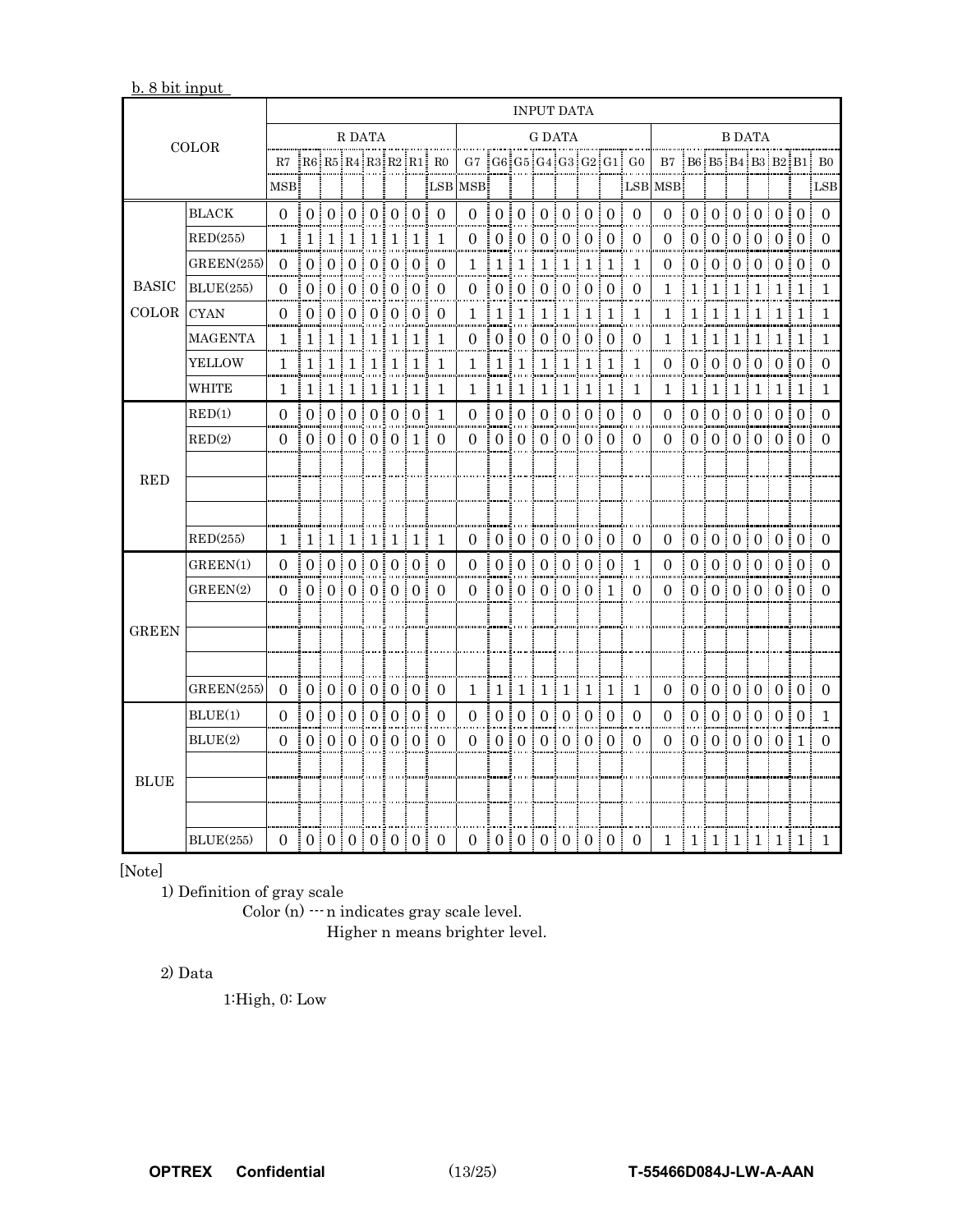b. 8 bit input

| <b>COLOR</b> |                  | INPUT DATA            |                                                      |  |  |  |  |        |                                        |                                                                                                                       |                                                      |    |  |  |               |  |                                     |                                                      |                       |  |  |  |  |                                                      |
|--------------|------------------|-----------------------|------------------------------------------------------|--|--|--|--|--------|----------------------------------------|-----------------------------------------------------------------------------------------------------------------------|------------------------------------------------------|----|--|--|---------------|--|-------------------------------------|------------------------------------------------------|-----------------------|--|--|--|--|------------------------------------------------------|
|              |                  | R DATA                |                                                      |  |  |  |  | G DATA |                                        |                                                                                                                       |                                                      |    |  |  | <b>B DATA</b> |  |                                     |                                                      |                       |  |  |  |  |                                                      |
|              |                  |                       |                                                      |  |  |  |  |        |                                        | R7   R6   R5   R4   R3   R2   R1   R0   G7   G6   G5   G4   G3   G2   G1   G0   B7   B6   B5   B4   B3   B2   B1   B0 |                                                      |    |  |  |               |  |                                     |                                                      |                       |  |  |  |  |                                                      |
|              |                  | MSB:                  |                                                      |  |  |  |  |        |                                        | MSB:                                                                                                                  |                                                      | Ť. |  |  |               |  |                                     | $ $ $ $ $ $ LSB MSB                                  |                       |  |  |  |  | $i$ LSB                                              |
|              | <b>BLACK</b>     |                       |                                                      |  |  |  |  |        | $0 \t0 \t0 \t0 \t0 \t0 \t0 \t0$        |                                                                                                                       | $0 \pm 0 \pm 0 \pm 0 \pm 0 \pm 0 \pm 0$              |    |  |  |               |  |                                     | $0 \t0 \t0 \t0 \t0 \t0 \t0 \t0$                      |                       |  |  |  |  |                                                      |
|              | RED(255)         |                       | 1   1   1   1   1   1   1   1                        |  |  |  |  |        |                                        |                                                                                                                       | 0 0 0 0 0 0 0 0 0 0 0                                |    |  |  |               |  |                                     |                                                      |                       |  |  |  |  | 0 10 10 10 10 10 10 10                               |
|              | GREEN(255)       |                       |                                                      |  |  |  |  |        | 0 0 0 0 0 0 0 0 0 0                    |                                                                                                                       | $1 \t1 \t1 \t1 \t1 \t1 \t1 \t1 \t1$                  |    |  |  |               |  |                                     |                                                      |                       |  |  |  |  | $0 \t 0 \t 0 \t 0 \t 0 \t 0 \t 0 \t 0$               |
| <b>BASIC</b> | BLUE(255)        |                       | 0 0 0 0 0 0 0 0 0 0 0                                |  |  |  |  |        |                                        |                                                                                                                       | 0:0:0:0:0:0:0:0                                      |    |  |  |               |  |                                     |                                                      |                       |  |  |  |  | 1   1   1   1   1   1   1   1                        |
| COLOR        | <b>CYAN</b>      |                       | $0 \mid 0 \mid 0 \mid 0 \mid 0 \mid 0 \mid 0 \mid 0$ |  |  |  |  |        |                                        |                                                                                                                       | 1   1   1   1   1   1   1   1                        |    |  |  |               |  | $\overline{1}$                      |                                                      |                       |  |  |  |  | $1 \mid 1 \mid 1 \mid 1 \mid 1 \mid 1 \mid 1 \mid 1$ |
|              | MAGENTA          |                       | 1   1   1   1   1   1   1   1                        |  |  |  |  |        |                                        |                                                                                                                       | 0 1 0 1 0 1 0 1 0 1 0 1 0 1 0                        |    |  |  |               |  |                                     |                                                      |                       |  |  |  |  | 1   1   1   1   1   1   1   1                        |
|              | YELLOW           |                       | 1   1   1   1   1   1   1   1                        |  |  |  |  |        |                                        |                                                                                                                       | 1   1   1   1   1   1   1   1                        |    |  |  |               |  |                                     |                                                      |                       |  |  |  |  | $0 \t0 \t0 \t0 \t0 \t0 \t0 \t0 \t0$                  |
|              | <b>WHITE</b>     |                       | $1 \mid 1 \mid 1 \mid 1 \mid 1 \mid 1 \mid 1 \mid 1$ |  |  |  |  |        |                                        |                                                                                                                       | $1 \mid 1 \mid 1 \mid 1 \mid 1 \mid 1 \mid 1 \mid 1$ |    |  |  |               |  |                                     |                                                      |                       |  |  |  |  | $1 \mid 1 \mid 1 \mid 1 \mid 1 \mid 1 \mid 1 \mid 1$ |
|              | RED(1)           |                       | 0 0 0 0 0 0 0 0 1                                    |  |  |  |  |        |                                        |                                                                                                                       | 0 10 10 10 10 10 10 0 0                              |    |  |  |               |  |                                     |                                                      |                       |  |  |  |  | 0 10 0 0 0 0 0 0 0 0 0                               |
|              | RED(2)           |                       |                                                      |  |  |  |  |        | 0 0 0 0 0 0 0 1 0 1 0                  |                                                                                                                       | 0 1 0 1 0 1 0 1 0 1 0 1 0 1 0                        |    |  |  |               |  |                                     |                                                      |                       |  |  |  |  | 0 10 0 0 0 0 0 0 0 0 0                               |
| <b>RED</b>   |                  |                       |                                                      |  |  |  |  |        |                                        |                                                                                                                       |                                                      |    |  |  |               |  |                                     |                                                      |                       |  |  |  |  |                                                      |
|              |                  |                       |                                                      |  |  |  |  |        |                                        |                                                                                                                       |                                                      |    |  |  |               |  |                                     |                                                      |                       |  |  |  |  |                                                      |
|              |                  |                       |                                                      |  |  |  |  |        |                                        |                                                                                                                       |                                                      |    |  |  |               |  |                                     |                                                      |                       |  |  |  |  |                                                      |
|              | RED(255)         |                       | 1   1   1   1   1   1   1   1                        |  |  |  |  |        |                                        |                                                                                                                       | $0 \t0 \t0 \t0 \t0 \t0 \t0 \t0 \t0$                  |    |  |  |               |  |                                     | $0 \mid 0 \mid 0 \mid 0 \mid 0 \mid 0 \mid 0 \mid 0$ |                       |  |  |  |  |                                                      |
|              | ${\rm GREEN}(1)$ |                       |                                                      |  |  |  |  |        | $0 \t 0 \t 0 \t 0 \t 0 \t 0 \t 0 \t 0$ |                                                                                                                       |                                                      |    |  |  |               |  | $0 \t0 \t0 \t0 \t0 \t0 \t0 \t0 \t1$ |                                                      |                       |  |  |  |  | 0 0 0 0 0 0 0 0 0 0 0 0                              |
|              | GREEN(2)         |                       | 0 0 0 0 0 0 0 0 0 0 0                                |  |  |  |  |        |                                        |                                                                                                                       | 0 0 0 0 0 0 0 1 0 1 0                                |    |  |  |               |  |                                     |                                                      |                       |  |  |  |  | 0 0 0 0 0 0 0 0 0 0 0                                |
|              |                  |                       |                                                      |  |  |  |  |        |                                        |                                                                                                                       |                                                      |    |  |  |               |  |                                     |                                                      |                       |  |  |  |  |                                                      |
| <b>GREEN</b> |                  |                       |                                                      |  |  |  |  |        |                                        |                                                                                                                       |                                                      |    |  |  |               |  |                                     |                                                      |                       |  |  |  |  |                                                      |
|              |                  |                       |                                                      |  |  |  |  |        |                                        |                                                                                                                       |                                                      |    |  |  |               |  |                                     |                                                      |                       |  |  |  |  |                                                      |
|              | GREEN(255)       | 0 0 0 0 0 0 0 0 0 0 0 |                                                      |  |  |  |  |        |                                        |                                                                                                                       | $1 \mid 1 \mid 1 \mid 1 \mid 1 \mid 1 \mid 1 \mid 1$ |    |  |  |               |  |                                     | 0 0 0 0 0 0 0 0 0 0 0 0                              |                       |  |  |  |  |                                                      |
|              | BLUE(1)          |                       |                                                      |  |  |  |  |        | 0 0 0 0 0 0 0 0 0 0 0                  |                                                                                                                       | 0 0 0 0 0 0 0 0 0 0 0 0                              |    |  |  |               |  |                                     |                                                      |                       |  |  |  |  | 0 0 0 0 0 0 0 0 1                                    |
|              | BLUE(2)          |                       |                                                      |  |  |  |  |        | 0 0 0 0 0 0 0 0 0 0 0                  |                                                                                                                       |                                                      |    |  |  |               |  | 0 0 0 0 0 0 0 0 0 0 0 0             |                                                      | 0 0 0 0 0 0 0 1 0 1 0 |  |  |  |  |                                                      |
|              |                  |                       |                                                      |  |  |  |  |        |                                        |                                                                                                                       |                                                      |    |  |  |               |  |                                     |                                                      |                       |  |  |  |  |                                                      |
| <b>BLUE</b>  |                  |                       |                                                      |  |  |  |  |        |                                        |                                                                                                                       |                                                      |    |  |  |               |  |                                     |                                                      |                       |  |  |  |  |                                                      |
|              |                  |                       |                                                      |  |  |  |  |        |                                        |                                                                                                                       |                                                      |    |  |  |               |  |                                     |                                                      |                       |  |  |  |  |                                                      |
|              | BLUE(255)        |                       |                                                      |  |  |  |  |        |                                        |                                                                                                                       |                                                      |    |  |  |               |  |                                     | 1   1   1   1   1   1   1   1                        |                       |  |  |  |  | 1                                                    |

[Note]

1) Definition of gray scale

Color (n)  $\cdots$ n indicates gray scale level. Higher n means brighter level.

#### 2) Data

1:High, 0: Low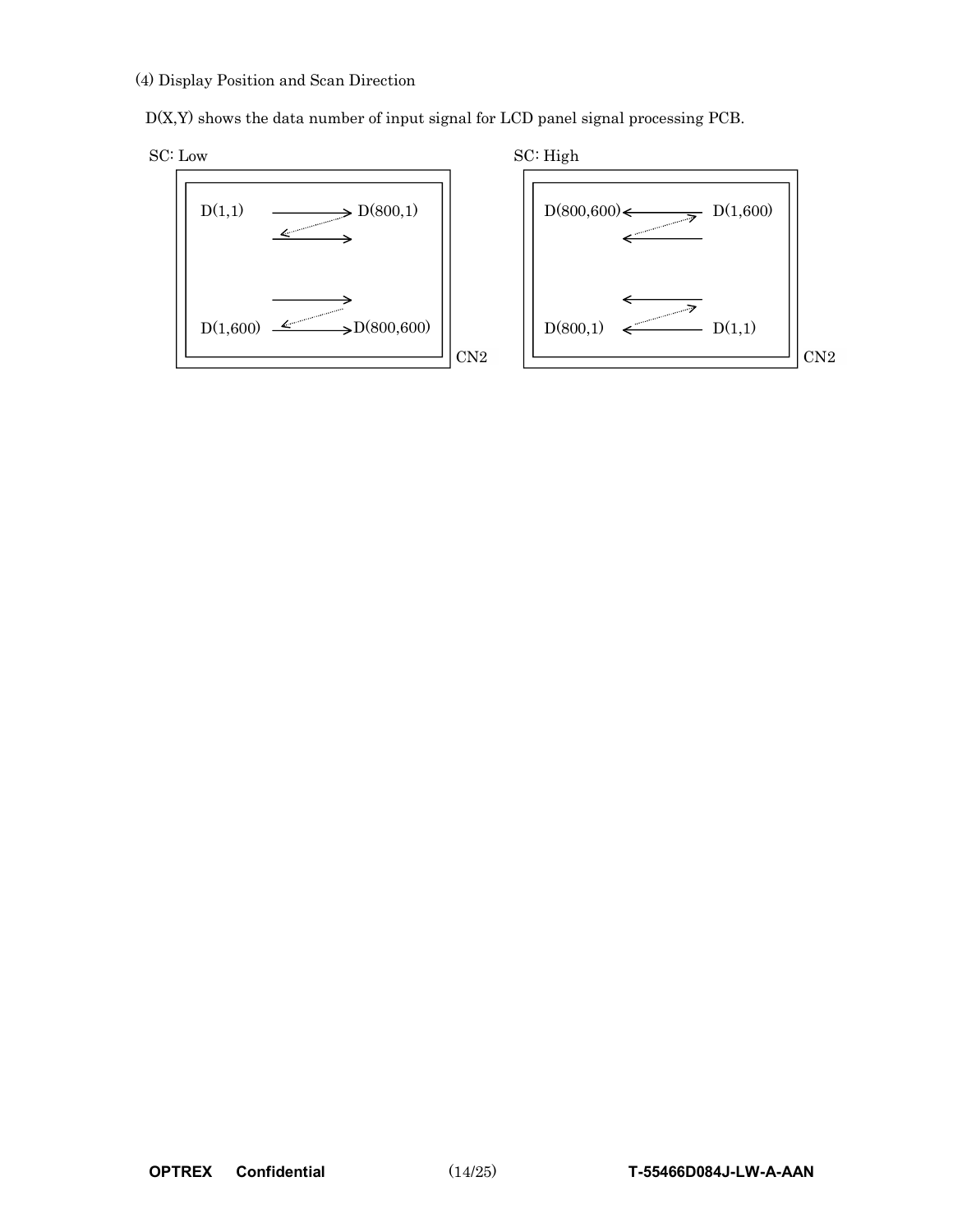#### (4) Display Position and Scan Direction

D(X,Y) shows the data number of input signal for LCD panel signal processing PCB.



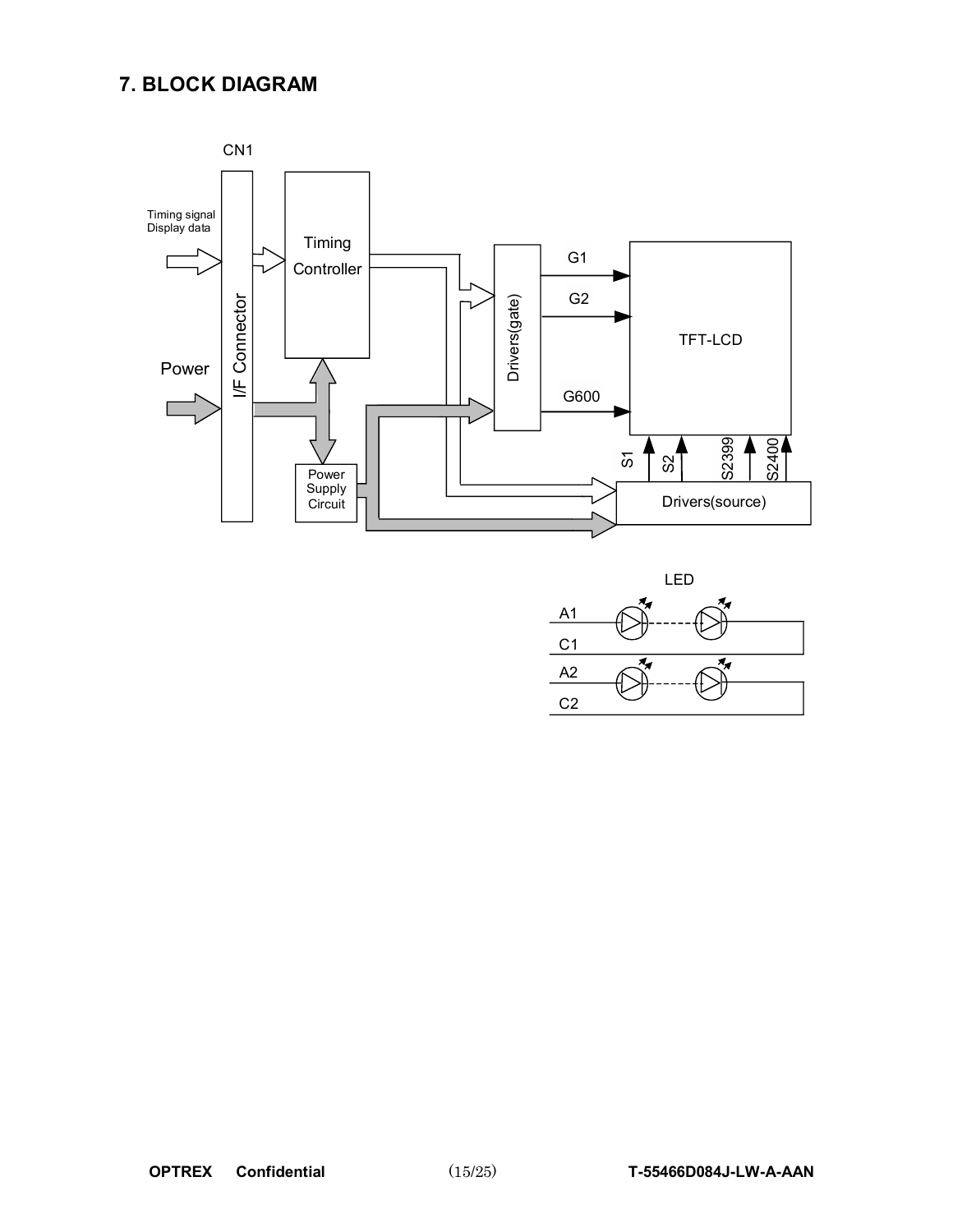## **7. BLOCK DIAGRAM**



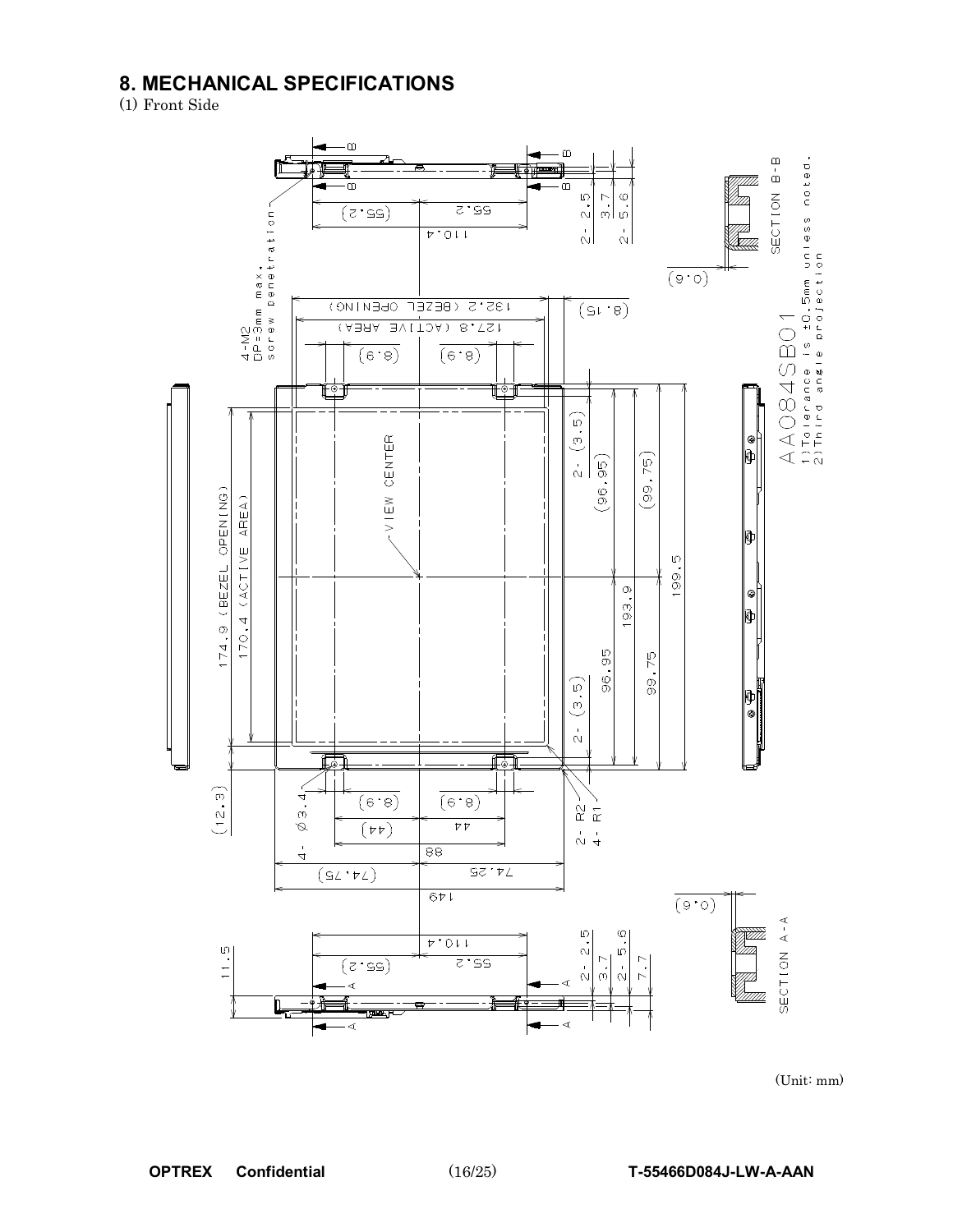## **8. MECHANICAL SPECIFICATIONS**

(1) Front Side



(Unit: mm)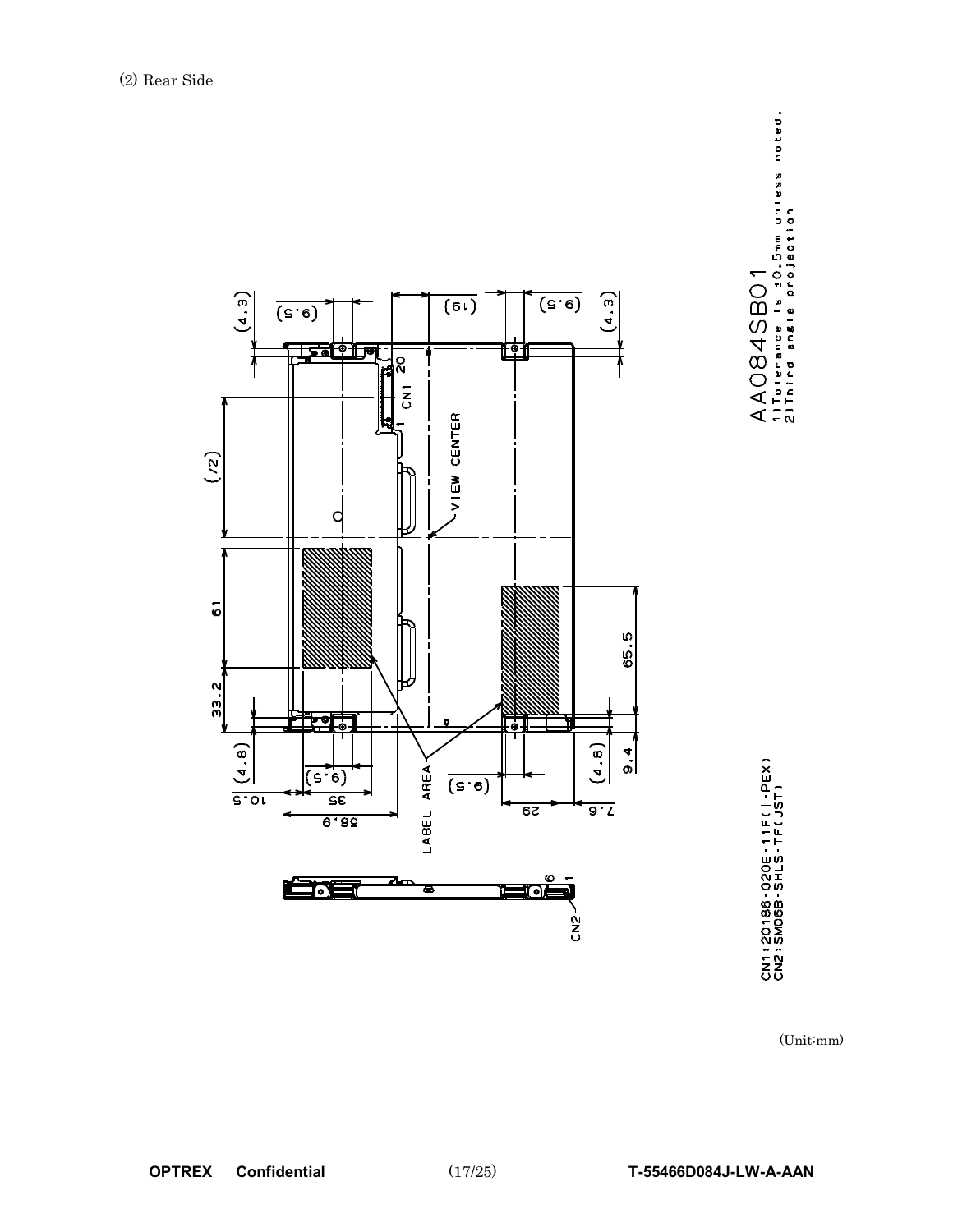



CN1:20186-020E-11F(I-PEX)<br>CN2:SM06B-SHLS-TF(JST)

(Unit:mm)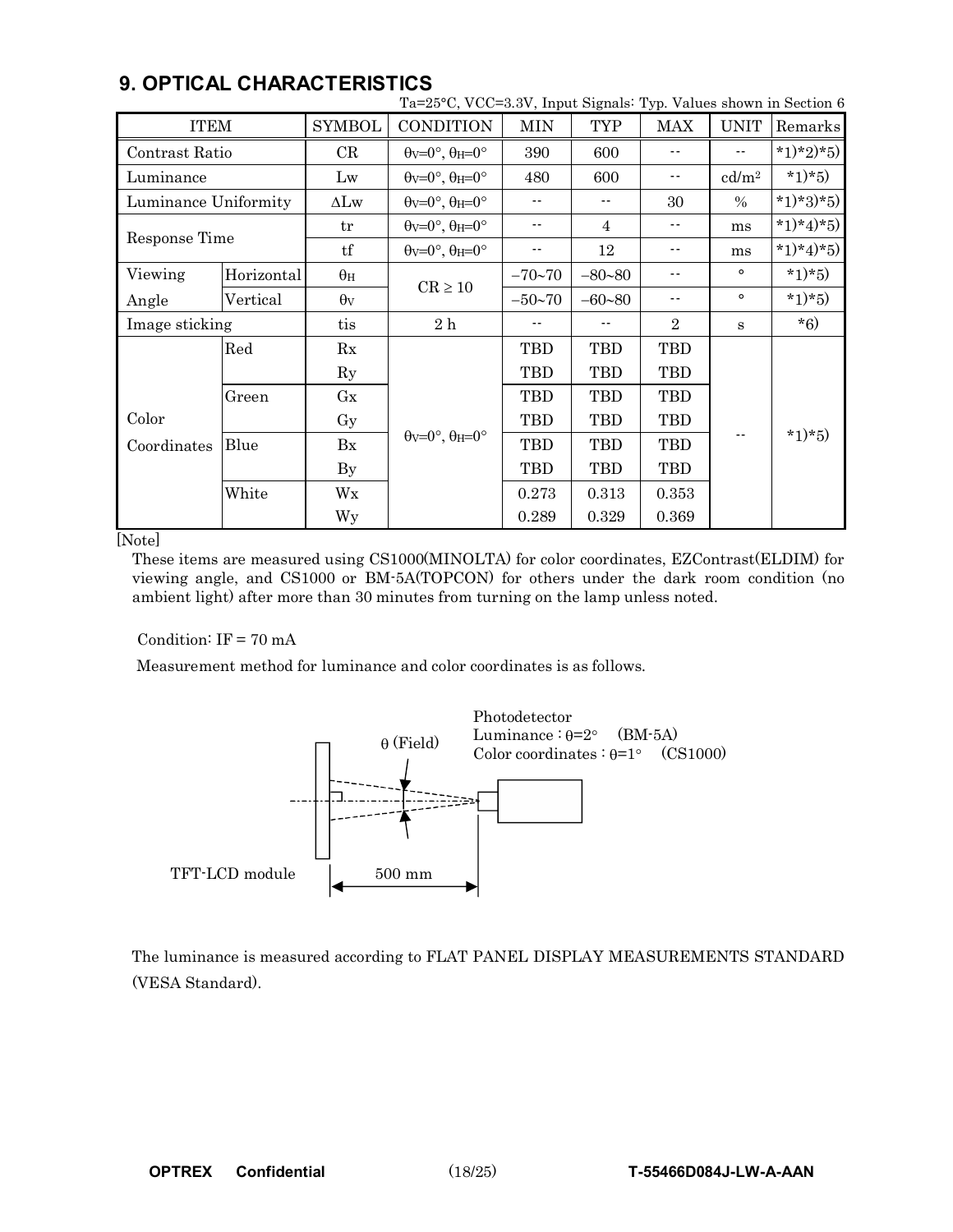|                      |            |               | Ta=25°C, VCC=3.3V, Input Signals: Typ. Values shown in Section 6 |                |            |                |                   |           |  |
|----------------------|------------|---------------|------------------------------------------------------------------|----------------|------------|----------------|-------------------|-----------|--|
| <b>ITEM</b>          |            | <b>SYMBOL</b> | <b>CONDITION</b>                                                 | <b>MIN</b>     | <b>TYP</b> | MAX            | <b>UNIT</b>       | Remarks   |  |
| Contrast Ratio       |            | CR            | $\theta$ v=0°, $\theta$ H=0°                                     | 390            | 600        | $-$            |                   | *1)*2)*5) |  |
| Luminance            |            | Lw            | $\theta$ v=0°, $\theta$ H=0°                                     | 480            | 600        | $-$            | cd/m <sup>2</sup> | $*1)*5)$  |  |
| Luminance Uniformity |            | $\Delta Lw$   | $\theta$ v=0°, $\theta$ H=0°                                     | $- -$          | $- -$      | 30             | $\%$              | *1)*3)*5) |  |
|                      |            | tr            | $\theta$ v=0°, $\theta$ H=0°                                     |                | 4<br>$ -$  |                | ms                | *1)*4)*5) |  |
| Response Time        |            | tf            | $\theta$ v=0°, $\theta$ H=0°                                     | $ -$           | 12         | $- -$          | ms                | *1)*4)*5) |  |
| Viewing              | Horizontal | $\theta_H$    | $CR \ge 10$                                                      | $-70 - 70$     | $-80 - 80$ | $ -$           | $\circ$           | $*1)*5)$  |  |
| Angle                | Vertical   |               |                                                                  | $-50 - 70$     | $-60 - 80$ | $ -$           | $\circ$           | $*1)*5)$  |  |
| Image sticking       |            | tis           | 2h                                                               |                |            | $\overline{2}$ | S                 | $*6)$     |  |
|                      | Red        | Rx            |                                                                  | TBD            | <b>TBD</b> | TBD            |                   |           |  |
|                      |            | $\rm Ry$      |                                                                  | TBD            | TBD        | TBD            |                   |           |  |
|                      | Green      | Gx            |                                                                  | TBD            | TBD        | TBD            |                   |           |  |
| Color                |            | Gy            |                                                                  | <b>TBD</b>     | <b>TBD</b> | <b>TBD</b>     |                   |           |  |
| Coordinates          | Blue       | Bx            | $\theta$ v=0°, $\theta$ H=0°                                     | <b>TBD</b>     | <b>TBD</b> | <b>TBD</b>     |                   | $*1)*5)$  |  |
|                      |            | By            |                                                                  | <b>TBD</b>     | <b>TBD</b> | <b>TBD</b>     |                   |           |  |
|                      | White      | Wx            |                                                                  | 0.273<br>0.313 |            | 0.353          |                   |           |  |
|                      |            | Wy            |                                                                  | 0.289          | 0.329      | 0.369          |                   |           |  |

### **9. OPTICAL CHARACTERISTICS**

[Note]

These items are measured using CS1000(MINOLTA) for color coordinates, EZContrast(ELDIM) for viewing angle, and CS1000 or BM-5A(TOPCON) for others under the dark room condition (no ambient light) after more than 30 minutes from turning on the lamp unless noted.

Condition:  $IF = 70 mA$ 

Measurement method for luminance and color coordinates is as follows.



The luminance is measured according to FLAT PANEL DISPLAY MEASUREMENTS STANDARD (VESA Standard).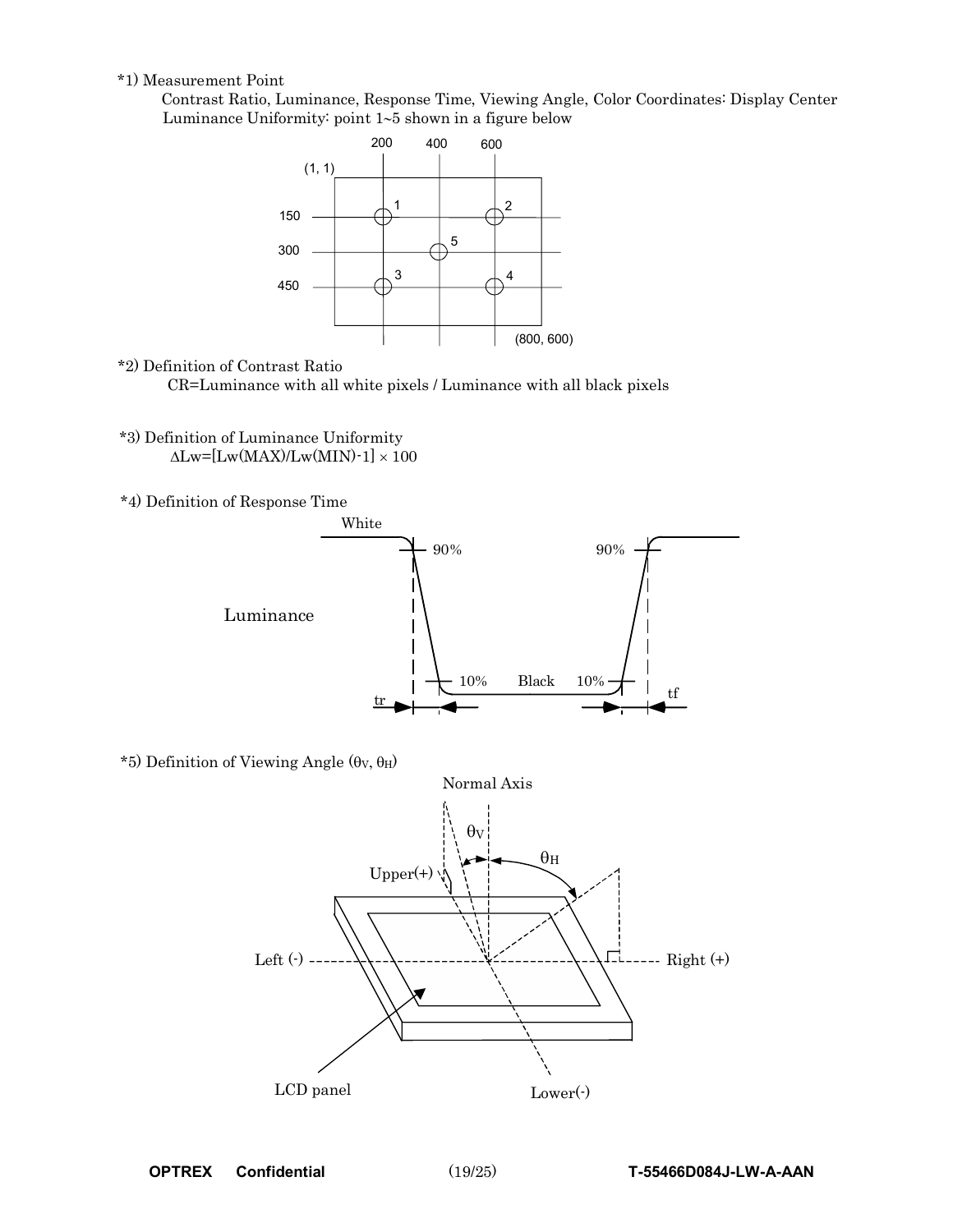#### \*1) Measurement Point

Contrast Ratio, Luminance, Response Time, Viewing Angle, Color Coordinates: Display Center Luminance Uniformity: point 1∼5 shown in a figure below



#### \*2) Definition of Contrast Ratio

CR=Luminance with all white pixels / Luminance with all black pixels

- \*3) Definition of Luminance Uniformity  $\Delta$ Lw=[Lw(MAX)/Lw(MIN)-1] × 100
- \*4) Definition of Response Time



 $*5$ ) Definition of Viewing Angle (θν, θH)

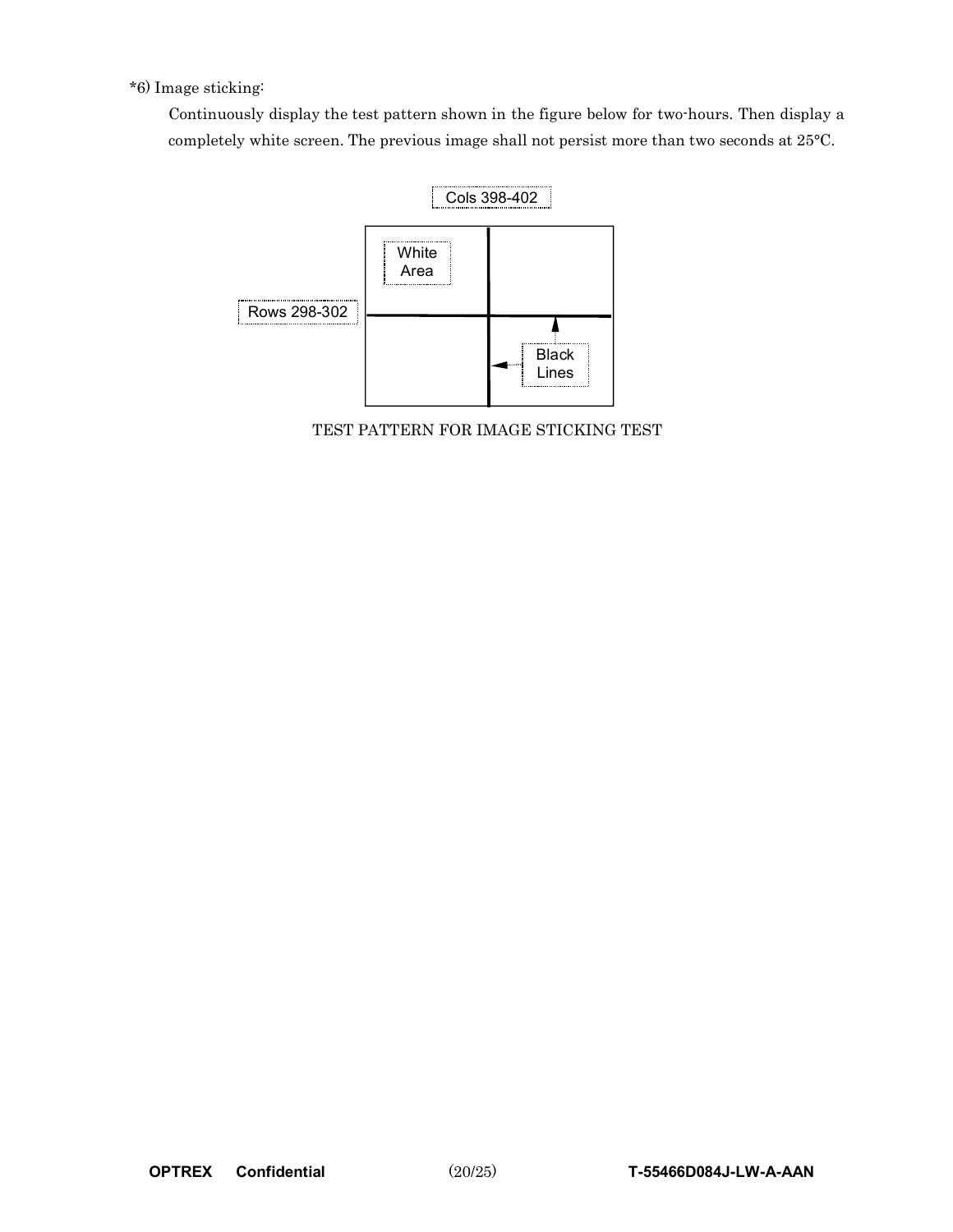\*6) Image sticking:

Continuously display the test pattern shown in the figure below for two-hours. Then display a completely white screen. The previous image shall not persist more than two seconds at 25°C.



TEST PATTERN FOR IMAGE STICKING TEST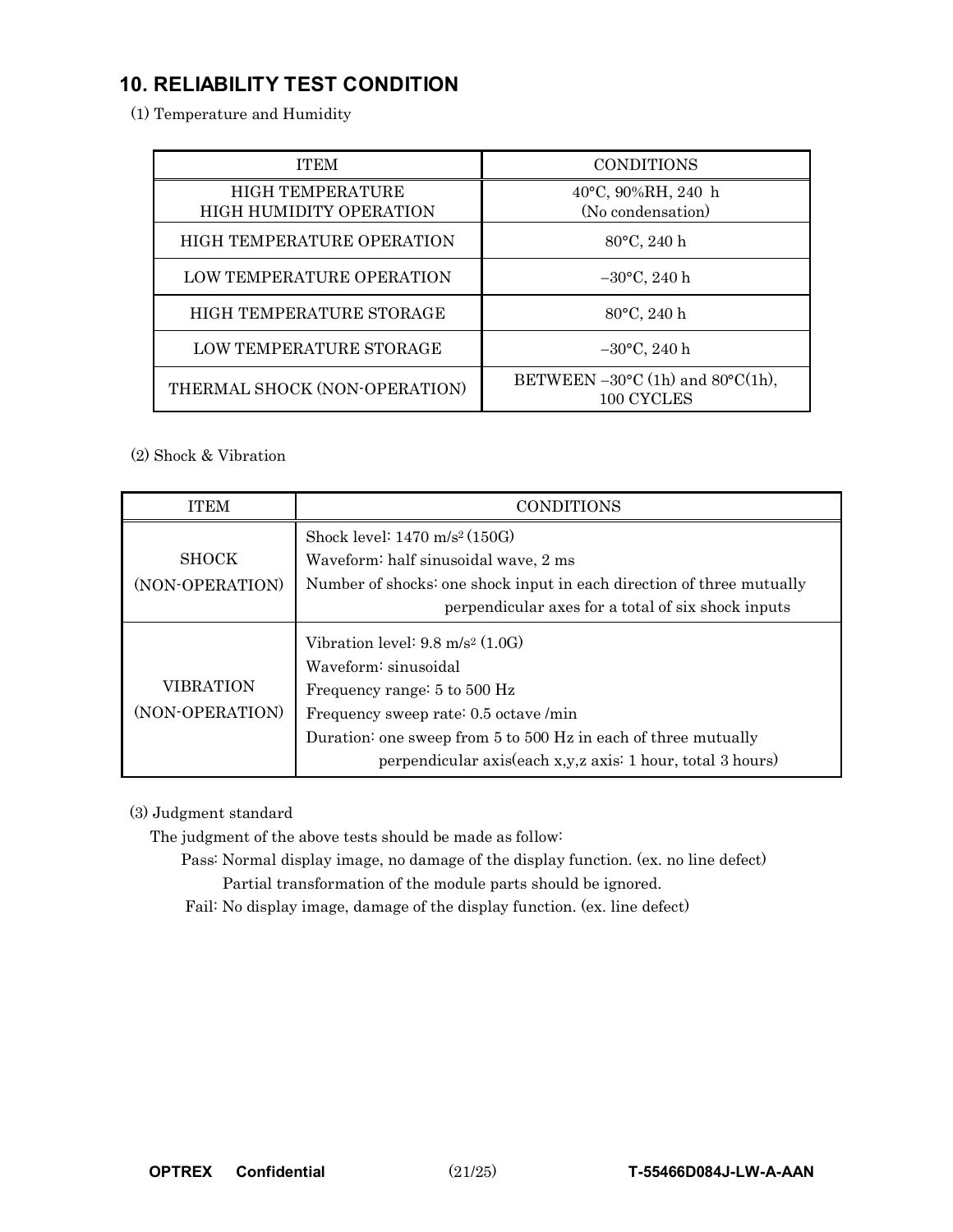## **10. RELIABILITY TEST CONDITION**

(1) Temperature and Humidity

| <b>ITEM</b>                                               | <b>CONDITIONS</b>                                                  |
|-----------------------------------------------------------|--------------------------------------------------------------------|
| <b>HIGH TEMPERATURE</b><br><b>HIGH HUMIDITY OPERATION</b> | 40°C, 90%RH, 240 h<br>(No condensation)                            |
| <b>HIGH TEMPERATURE OPERATION</b>                         | 80°C, 240 h                                                        |
| LOW TEMPERATURE OPERATION                                 | $-30$ °C, 240 h                                                    |
| HIGH TEMPERATURE STORAGE                                  | 80°C, 240 h                                                        |
| LOW TEMPERATURE STORAGE                                   | $-30$ °C, 240 h                                                    |
| THERMAL SHOCK (NON-OPERATION)                             | BETWEEN $-30^{\circ}$ C (1h) and $80^{\circ}$ C(1h),<br>100 CYCLES |

(2) Shock & Vibration

| <b>ITEM</b>                         | <b>CONDITIONS</b>                                                                                                                                                                                                                                                                    |  |  |  |  |  |  |  |
|-------------------------------------|--------------------------------------------------------------------------------------------------------------------------------------------------------------------------------------------------------------------------------------------------------------------------------------|--|--|--|--|--|--|--|
| <b>SHOCK</b>                        | Shock level: $1470 \text{ m/s}^2 (150 \text{G})$<br>Waveform: half sinusoidal wave, 2 ms                                                                                                                                                                                             |  |  |  |  |  |  |  |
| (NON-OPERATION)                     | Number of shocks: one shock input in each direction of three mutually<br>perpendicular axes for a total of six shock inputs                                                                                                                                                          |  |  |  |  |  |  |  |
| <b>VIBRATION</b><br>(NON-OPERATION) | Vibration level: $9.8 \text{ m/s}^2 (1.0 \text{G})$<br>Waveform: sinusoidal<br>Frequency range: 5 to 500 Hz<br>Frequency sweep rate: 0.5 octave /min<br>Duration: one sweep from 5 to 500 Hz in each of three mutually<br>perpendicular axis(each x,y,z axis: 1 hour, total 3 hours) |  |  |  |  |  |  |  |

(3) Judgment standard

The judgment of the above tests should be made as follow:

Pass: Normal display image, no damage of the display function. (ex. no line defect) Partial transformation of the module parts should be ignored.

Fail: No display image, damage of the display function. (ex. line defect)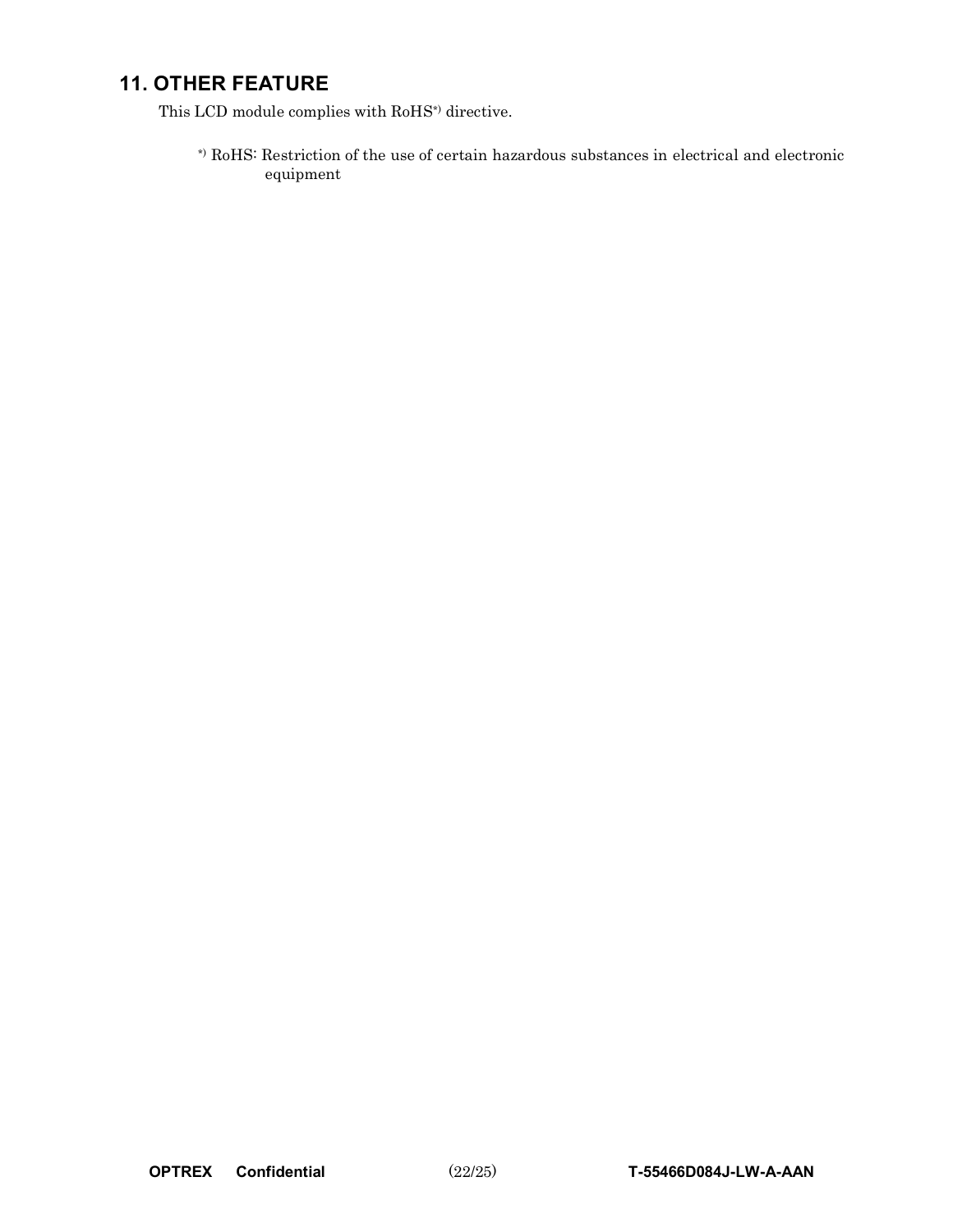## **11. OTHER FEATURE**

This LCD module complies with RoHS\*) directive.

\*) RoHS: Restriction of the use of certain hazardous substances in electrical and electronic equipment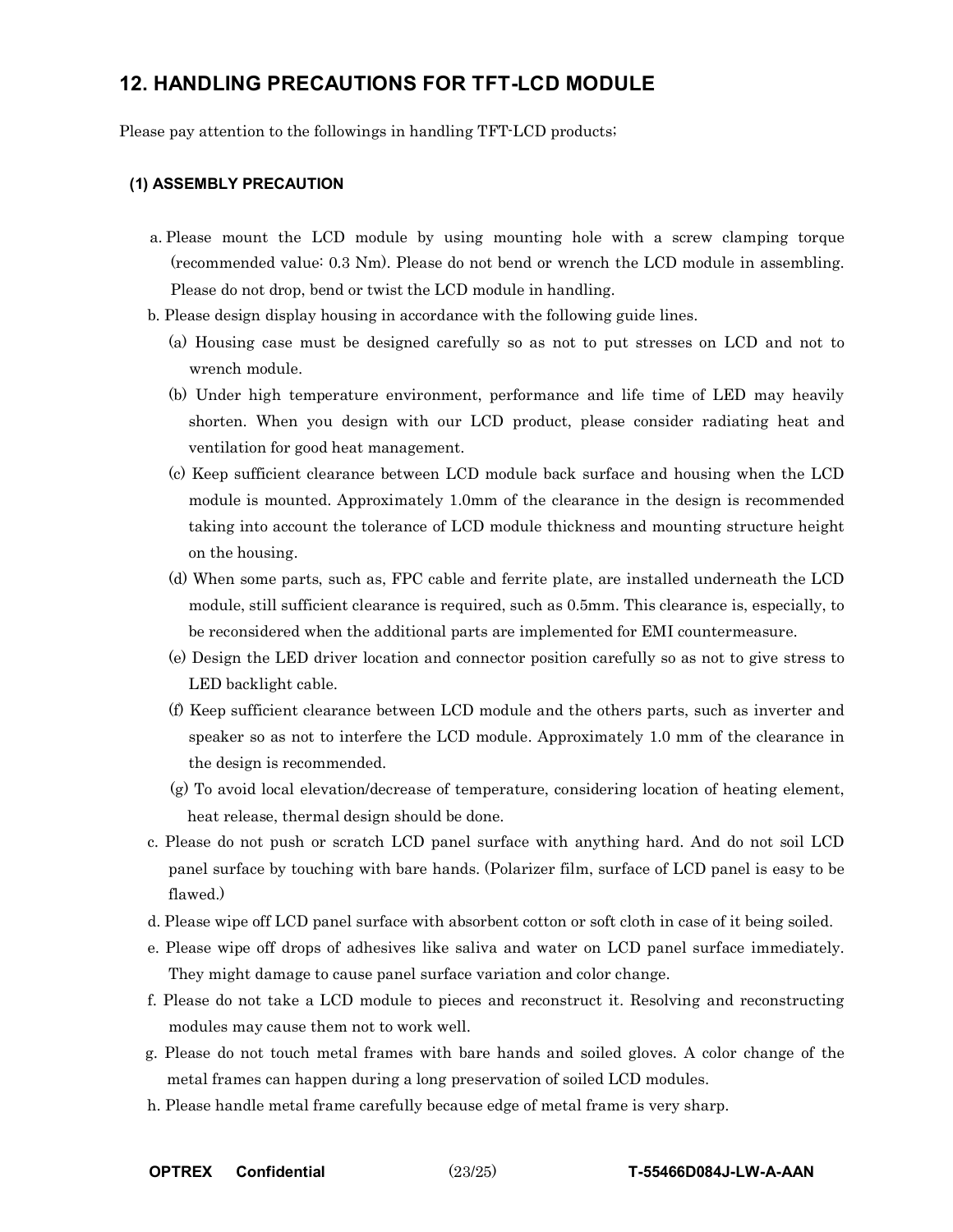### **12. HANDLING PRECAUTIONS FOR TFT-LCD MODULE**

Please pay attention to the followings in handling TFT-LCD products;

#### **(1) ASSEMBLY PRECAUTION**

- a. Please mount the LCD module by using mounting hole with a screw clamping torque (recommended value: 0.3 Nm). Please do not bend or wrench the LCD module in assembling. Please do not drop, bend or twist the LCD module in handling.
- b. Please design display housing in accordance with the following guide lines.
	- (a) Housing case must be designed carefully so as not to put stresses on LCD and not to wrench module.
	- (b) Under high temperature environment, performance and life time of LED may heavily shorten. When you design with our LCD product, please consider radiating heat and ventilation for good heat management.
	- (c) Keep sufficient clearance between LCD module back surface and housing when the LCD module is mounted. Approximately 1.0mm of the clearance in the design is recommended taking into account the tolerance of LCD module thickness and mounting structure height on the housing.
	- (d) When some parts, such as, FPC cable and ferrite plate, are installed underneath the LCD module, still sufficient clearance is required, such as 0.5mm. This clearance is, especially, to be reconsidered when the additional parts are implemented for EMI countermeasure.
	- (e) Design the LED driver location and connector position carefully so as not to give stress to LED backlight cable.
	- (f) Keep sufficient clearance between LCD module and the others parts, such as inverter and speaker so as not to interfere the LCD module. Approximately 1.0 mm of the clearance in the design is recommended.
	- (g) To avoid local elevation/decrease of temperature, considering location of heating element, heat release, thermal design should be done.
- c. Please do not push or scratch LCD panel surface with anything hard. And do not soil LCD panel surface by touching with bare hands. (Polarizer film, surface of LCD panel is easy to be flawed.)
- d. Please wipe off LCD panel surface with absorbent cotton or soft cloth in case of it being soiled.
- e. Please wipe off drops of adhesives like saliva and water on LCD panel surface immediately. They might damage to cause panel surface variation and color change.
- f. Please do not take a LCD module to pieces and reconstruct it. Resolving and reconstructing modules may cause them not to work well.
- g. Please do not touch metal frames with bare hands and soiled gloves. A color change of the metal frames can happen during a long preservation of soiled LCD modules.
- h. Please handle metal frame carefully because edge of metal frame is very sharp.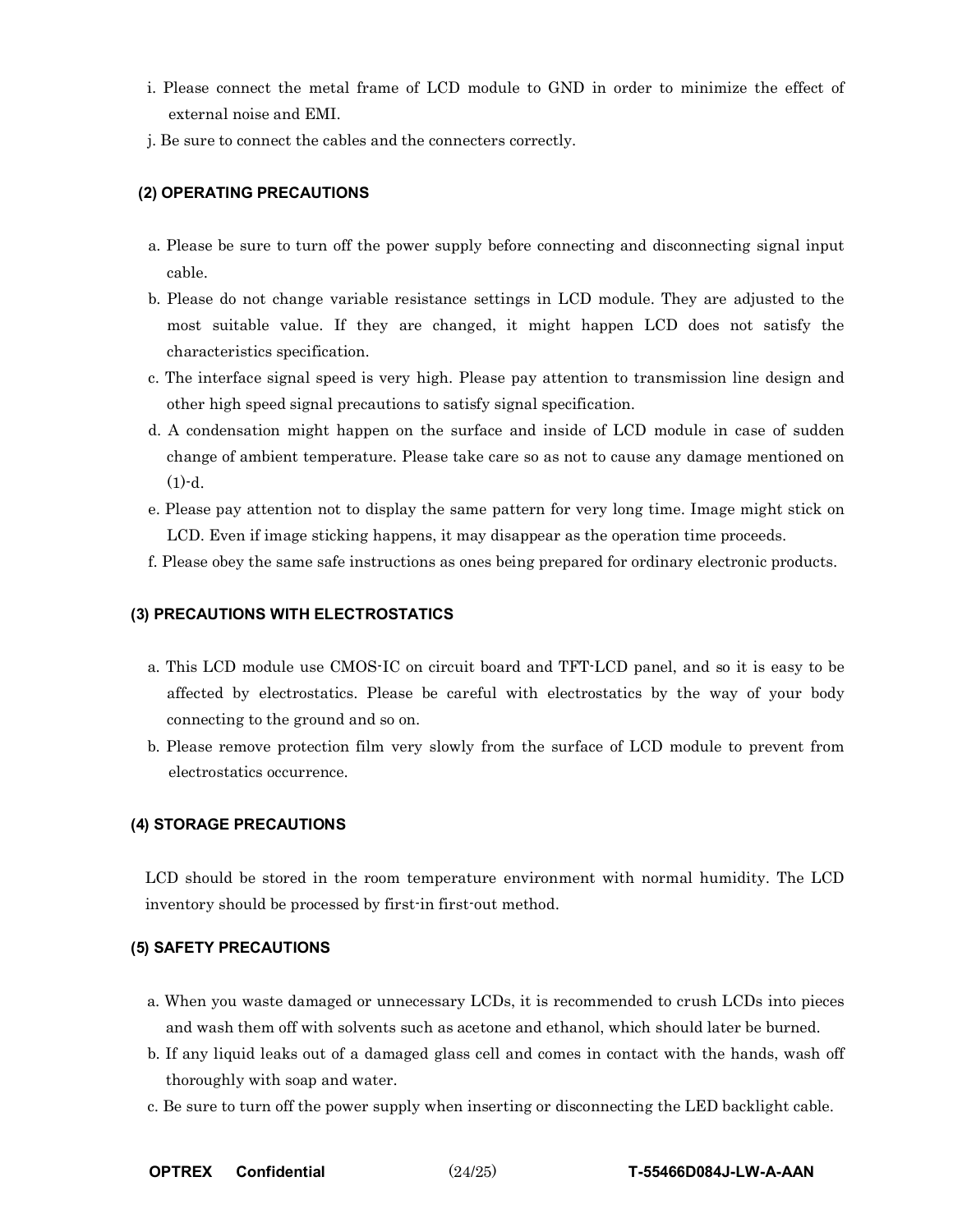- i. Please connect the metal frame of LCD module to GND in order to minimize the effect of external noise and EMI.
- j. Be sure to connect the cables and the connecters correctly.

#### **(2) OPERATING PRECAUTIONS**

- a. Please be sure to turn off the power supply before connecting and disconnecting signal input cable.
- b. Please do not change variable resistance settings in LCD module. They are adjusted to the most suitable value. If they are changed, it might happen LCD does not satisfy the characteristics specification.
- c. The interface signal speed is very high. Please pay attention to transmission line design and other high speed signal precautions to satisfy signal specification.
- d. A condensation might happen on the surface and inside of LCD module in case of sudden change of ambient temperature. Please take care so as not to cause any damage mentioned on  $(1)-d$ .
- e. Please pay attention not to display the same pattern for very long time. Image might stick on LCD. Even if image sticking happens, it may disappear as the operation time proceeds.
- f. Please obey the same safe instructions as ones being prepared for ordinary electronic products.

#### **(3) PRECAUTIONS WITH ELECTROSTATICS**

- a. This LCD module use CMOS-IC on circuit board and TFT-LCD panel, and so it is easy to be affected by electrostatics. Please be careful with electrostatics by the way of your body connecting to the ground and so on.
- b. Please remove protection film very slowly from the surface of LCD module to prevent from electrostatics occurrence.

#### **(4) STORAGE PRECAUTIONS**

LCD should be stored in the room temperature environment with normal humidity. The LCD inventory should be processed by first-in first-out method.

#### **(5) SAFETY PRECAUTIONS**

- a. When you waste damaged or unnecessary LCDs, it is recommended to crush LCDs into pieces and wash them off with solvents such as acetone and ethanol, which should later be burned.
- b. If any liquid leaks out of a damaged glass cell and comes in contact with the hands, wash off thoroughly with soap and water.
- c. Be sure to turn off the power supply when inserting or disconnecting the LED backlight cable.